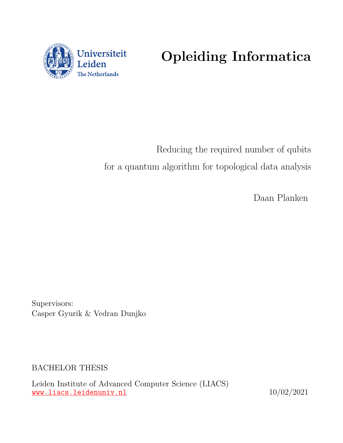

# Opleiding Informatica

Reducing the required number of qubits for a quantum algorithm for topological data analysis

Daan Planken

Supervisors: Casper Gyurik & Vedran Dunjko

BACHELOR THESIS

Leiden Institute of Advanced Computer Science (LIACS) <www.liacs.leidenuniv.nl> 10/02/2021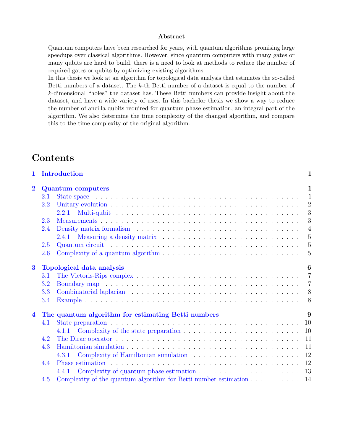#### Abstract

Quantum computers have been researched for years, with quantum algorithms promising large speedups over classical algorithms. However, since quantum computers with many gates or many qubits are hard to build, there is a need to look at methods to reduce the number of required gates or qubits by optimizing existing algorithms.

In this thesis we look at an algorithm for topological data analysis that estimates the so-called Betti numbers of a dataset. The k-th Betti number of a dataset is equal to the number of k-dimensional "holes" the dataset has. These Betti numbers can provide insight about the dataset, and have a wide variety of uses. In this bachelor thesis we show a way to reduce the number of ancilla qubits required for quantum phase estimation, an integral part of the algorithm. We also determine the time complexity of the changed algorithm, and compare this to the time complexity of the original algorithm.

# **Contents**

| $\mathbf 1$             |     | Introduction                                                                                                                                                                                                                   | $\mathbf{1}$   |
|-------------------------|-----|--------------------------------------------------------------------------------------------------------------------------------------------------------------------------------------------------------------------------------|----------------|
| $\overline{2}$          |     | <b>Quantum</b> computers                                                                                                                                                                                                       | $\mathbf{1}$   |
|                         | 2.1 |                                                                                                                                                                                                                                | $\mathbf{1}$   |
|                         | 2.2 |                                                                                                                                                                                                                                | <sup>2</sup>   |
|                         |     |                                                                                                                                                                                                                                | -3             |
|                         | 2.3 |                                                                                                                                                                                                                                | 3              |
|                         | 2.4 |                                                                                                                                                                                                                                | $\overline{4}$ |
|                         |     |                                                                                                                                                                                                                                | $-5$           |
|                         | 2.5 |                                                                                                                                                                                                                                | -5             |
|                         | 2.6 |                                                                                                                                                                                                                                |                |
| $\overline{\mathbf{3}}$ |     | <b>Topological data analysis</b>                                                                                                                                                                                               | 6              |
|                         | 3.1 |                                                                                                                                                                                                                                |                |
|                         | 3.2 | Boundary map received to the contract of the contract of the contract of the contract of the contract of the contract of the contract of the contract of the contract of the contract of the contract of the contract of the c | -7             |
|                         | 3.3 |                                                                                                                                                                                                                                |                |
|                         | 3.4 |                                                                                                                                                                                                                                | 8              |
| $\overline{\mathbf{4}}$ |     | The quantum algorithm for estimating Betti numbers                                                                                                                                                                             | 9              |
|                         | 4.1 | State preparation $\ldots \ldots \ldots \ldots \ldots \ldots \ldots \ldots \ldots \ldots \ldots \ldots$                                                                                                                        |                |
|                         |     |                                                                                                                                                                                                                                |                |
|                         | 4.2 |                                                                                                                                                                                                                                |                |
|                         | 4.3 |                                                                                                                                                                                                                                |                |
|                         |     | 4.3.1                                                                                                                                                                                                                          |                |
|                         | 4.4 |                                                                                                                                                                                                                                |                |
|                         |     | 4.4.1                                                                                                                                                                                                                          |                |
|                         | 4.5 | Complexity of the quantum algorithm for Betti number estimation 14                                                                                                                                                             |                |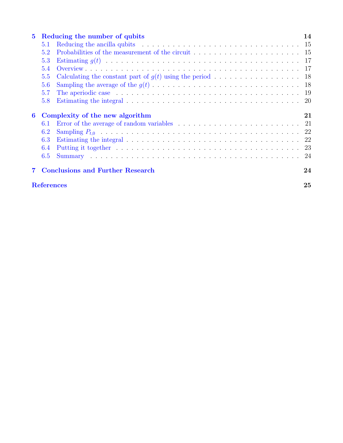| $5^{\circ}$ |                                       | Reducing the number of qubits                                                                                 | 14 |  |  |
|-------------|---------------------------------------|---------------------------------------------------------------------------------------------------------------|----|--|--|
|             | 5.1                                   |                                                                                                               |    |  |  |
|             | 5.2                                   |                                                                                                               |    |  |  |
|             | 5.3                                   |                                                                                                               |    |  |  |
|             | 5.4                                   |                                                                                                               |    |  |  |
|             | 5.5                                   |                                                                                                               |    |  |  |
|             | 5.6                                   |                                                                                                               |    |  |  |
|             | 5.7                                   |                                                                                                               |    |  |  |
|             | 5.8                                   | Estimating the integral $\ldots \ldots \ldots \ldots \ldots \ldots \ldots \ldots \ldots \ldots \ldots \ldots$ |    |  |  |
| 6           | Complexity of the new algorithm<br>21 |                                                                                                               |    |  |  |
|             | 6.1                                   | Error of the average of random variables $\ldots \ldots \ldots \ldots \ldots \ldots \ldots \ldots \ldots 21$  |    |  |  |
|             | 6.2                                   |                                                                                                               |    |  |  |
|             | 6.3                                   |                                                                                                               |    |  |  |
|             | 6.4                                   |                                                                                                               |    |  |  |
|             | 6.5                                   |                                                                                                               |    |  |  |
|             |                                       | <b>Conclusions and Further Research</b>                                                                       | 24 |  |  |
|             | <b>References</b>                     |                                                                                                               |    |  |  |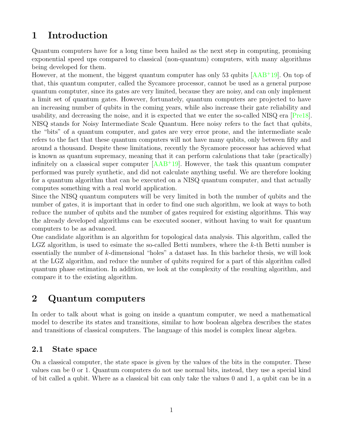# <span id="page-3-0"></span>1 Introduction

Quantum computers have for a long time been hailed as the next step in computing, promising exponential speed ups compared to classical (non-quantum) computers, with many algorithms being developed for them.

However, at the moment, the biggest quantum computer has only 53 qubits [\[AAB](#page-27-1)<sup>+</sup>19]. On top of that, this quantum computer, called the Sycamore processor, cannot be used as a general purpose quantum comptuter, since its gates are very limited, because they are noisy, and can only implement a limit set of quantum gates. However, fortunately, quantum computers are projected to have an increasing number of qubits in the coming years, while also increase their gate reliability and usability, and decreasing the noise, and it is expected that we enter the so-called NISQ era [\[Pre18\]](#page-27-2). NISQ stands for Noisy Intermediate Scale Quantum. Here noisy refers to the fact that qubits, the "bits" of a quantum computer, and gates are very error prone, and the intermediate scale refers to the fact that these quantum computers will not have many qubits, only between fifty and around a thousand. Despite these limitations, recently the Sycamore processor has achieved what is known as quantum supremacy, meaning that it can perform calculations that take (practically) infinitely on a classical super computer  $[ABAB^+19]$ . However, the task this quantum computer performed was purely synthetic, and did not calculate anything useful. We are therefore looking for a quantum algorithm that can be executed on a NISQ quantum computer, and that actually computes something with a real world application.

Since the NISQ quantum computers will be very limited in both the number of qubits and the number of gates, it is important that in order to find one such algorithm, we look at ways to both reduce the number of qubits and the number of gates required for existing algorithms. This way the already developed algorithms can be executed sooner, without having to wait for quantum computers to be as advanced.

One candidate algorithm is an algorithm for topological data analysis. This algorithm, called the LGZ algorithm, is used to esimate the so-called Betti numbers, where the k-th Betti number is essentially the number of k-dimensional "holes" a dataset has. In this bachelor thesis, we will look at the LGZ algorithm, and reduce the number of qubits required for a part of this algorithm called quantum phase estimation. In addition, we look at the complexity of the resulting algorithm, and compare it to the existing algorithm.

## <span id="page-3-1"></span>2 Quantum computers

In order to talk about what is going on inside a quantum computer, we need a mathematical model to describe its states and transitions, similar to how boolean algebra describes the states and transitions of classical computers. The language of this model is complex linear algebra.

## <span id="page-3-2"></span>2.1 State space

On a classical computer, the state space is given by the values of the bits in the computer. These values can be 0 or 1. Quantum computers do not use normal bits, instead, they use a special kind of bit called a qubit. Where as a classical bit can only take the values 0 and 1, a qubit can be in a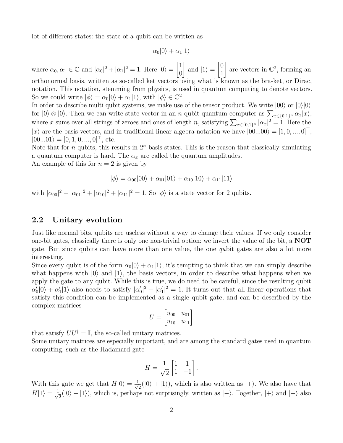lot of different states: the state of a qubit can be written as

$$
\alpha_0|0\rangle + \alpha_1|1\rangle
$$

where  $\alpha_0, \alpha_1 \in \mathbb{C}$  and  $|\alpha_0|^2 + |\alpha_1|^2 = 1$ . Here  $|0\rangle = \begin{bmatrix} 1 \\ 0 \end{bmatrix}$  $\overline{0}$ 1 and  $|1\rangle =$  $\lceil 0$ 1  $\Big]$  are vectors in  $\mathbb{C}^2$ , forming an orthonormal basis, written as so-called ket vectors using what is known as the bra-ket, or Dirac, notation. This notation, stemming from physics, is used in quantum computing to denote vectors. So we could write  $|\phi\rangle = \alpha_0 |0\rangle + \alpha_1 |1\rangle$ , with  $|\phi\rangle \in \mathbb{C}^2$ .

In order to describe multi qubit systems, we make use of the tensor product. We write  $|00\rangle$  or  $|0\rangle|0\rangle$ for  $|0\rangle \otimes |0\rangle$ . Then we can write state vector in an n qubit quantum computer as  $\sum_{x \in \{0,1\}^n} \alpha_x |x\rangle$ , where x sums over all strings of zeroes and ones of length n, satisfying  $\sum_{x \in \{0,1\}^n} |\alpha_x|^2 = 1$ . Here the  $|x\rangle$  are the basis vectors, and in traditional linear algebra notation we have  $|00...00\rangle = [1, 0, ..., 0]^T$ ,  $|00...01\rangle = [0, 1, 0, ..., 0]^\top$ , etc.

Note that for n qubits, this results in  $2^n$  basis states. This is the reason that classically simulating a quantum computer is hard. The  $\alpha_x$  are called the quantum amplitudes. An example of this for  $n = 2$  is given by

$$
|\phi\rangle = \alpha_{00}|00\rangle + \alpha_{01}|01\rangle + \alpha_{10}|10\rangle + \alpha_{11}|11\rangle
$$

with  $|\alpha_{00}|^2 + |\alpha_{01}|^2 + |\alpha_{10}|^2 + |\alpha_{11}|^2 = 1$ . So  $|\phi\rangle$  is a state vector for 2 qubits.

#### <span id="page-4-0"></span>2.2 Unitary evolution

Just like normal bits, qubits are useless without a way to change their values. If we only consider one-bit gates, classically there is only one non-trivial option: we invert the value of the bit, a NOT gate. But since qubits can have more than one value, the one qubit gates are also a lot more interesting.

Since every qubit is of the form  $\alpha_0|0\rangle + \alpha_1|1\rangle$ , it's tempting to think that we can simply describe what happens with  $|0\rangle$  and  $|1\rangle$ , the basis vectors, in order to describe what happens when we apply the gate to any qubit. While this is true, we do need to be careful, since the resulting qubit  $\alpha'_0|0\rangle + \alpha'_1|1\rangle$  also needs to satisfy  $|\alpha'_0|^2 + |\alpha'_1|^2 = 1$ . It turns out that all linear operations that satisfy this condition can be implemented as a single qubit gate, and can be described by the complex matrices

$$
U = \begin{bmatrix} u_{00} & u_{01} \\ u_{10} & u_{11} \end{bmatrix}
$$

that satisfy  $UU^{\dagger} = \mathbb{I}$ , the so-called unitary matrices.

Some unitary matrices are especially important, and are among the standard gates used in quantum computing, such as the Hadamard gate

$$
H = \frac{1}{\sqrt{2}} \begin{bmatrix} 1 & 1 \\ 1 & -1 \end{bmatrix}.
$$

With this gate we get that  $H|0\rangle = \frac{1}{\sqrt{2}}$  $\frac{1}{2}(|0\rangle + |1\rangle)$ , which is also written as  $|+\rangle$ . We also have that  $H|1\rangle = \frac{1}{\sqrt{2}}$  $\frac{1}{2}(|0\rangle - |1\rangle)$ , which is, perhaps not surprisingly, written as  $|-\rangle$ . Together,  $|+\rangle$  and  $|-\rangle$  also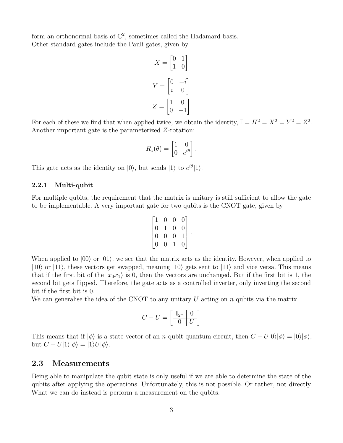form an orthonormal basis of  $\mathbb{C}^2$ , sometimes called the Hadamard basis. Other standard gates include the Pauli gates, given by

$$
X = \begin{bmatrix} 0 & 1 \\ 1 & 0 \end{bmatrix}
$$

$$
Y = \begin{bmatrix} 0 & -i \\ i & 0 \end{bmatrix}
$$

$$
Z = \begin{bmatrix} 1 & 0 \\ 0 & -1 \end{bmatrix}
$$

For each of these we find that when applied twice, we obtain the identity,  $\mathbb{I} = H^2 = X^2 = Y^2 = Z^2$ . Another important gate is the parameterized Z-rotation:

$$
R_z(\theta) = \begin{bmatrix} 1 & 0 \\ 0 & e^{i\theta} \end{bmatrix}
$$

.

This gate acts as the identity on  $|0\rangle$ , but sends  $|1\rangle$  to  $e^{i\theta}|1\rangle$ .

#### <span id="page-5-0"></span>2.2.1 Multi-qubit

For multiple qubits, the requirement that the matrix is unitary is still sufficient to allow the gate to be implementable. A very important gate for two qubits is the CNOT gate, given by

$$
\begin{bmatrix} 1 & 0 & 0 & 0 \\ 0 & 1 & 0 & 0 \\ 0 & 0 & 0 & 1 \\ 0 & 0 & 1 & 0 \end{bmatrix}.
$$

When applied to  $|00\rangle$  or  $|01\rangle$ , we see that the matrix acts as the identity. However, when applied to  $|10\rangle$  or  $|11\rangle$ , these vectors get swapped, meaning  $|10\rangle$  gets sent to  $|11\rangle$  and vice versa. This means that if the first bit of the  $|x_0x_1\rangle$  is 0, then the vectors are unchanged. But if the first bit is 1, the second bit gets flipped. Therefore, the gate acts as a controlled inverter, only inverting the second bit if the first bit is 0.

We can generalise the idea of the CNOT to any unitary U acting on n qubits via the matrix

$$
C - U = \left[\begin{array}{c|c} \mathbb{I}_{2^n} & 0 \\ \hline 0 & U \end{array}\right]
$$

This means that if  $|\phi\rangle$  is a state vector of an n qubit quantum circuit, then  $C - U|0\rangle |\phi\rangle = |0\rangle |\phi\rangle$ , but  $C - U|1\rangle |\phi\rangle = |1\rangle U|\phi\rangle$ .

#### <span id="page-5-1"></span>2.3 Measurements

Being able to manipulate the qubit state is only useful if we are able to determine the state of the qubits after applying the operations. Unfortunately, this is not possible. Or rather, not directly. What we can do instead is perform a measurement on the qubits.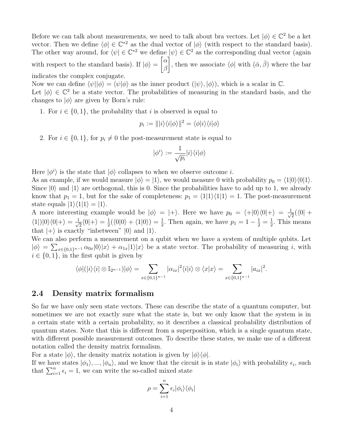Before we can talk about measurements, we need to talk about bra vectors. Let  $|\phi\rangle \in \mathbb{C}^2$  be a ket vector. Then we define  $\langle \phi | \in \mathbb{C}^{*2}$  as the dual vector of  $|\phi\rangle$  (with respect to the standard basis). The other way around, for  $\langle \psi | \in \mathbb{C}^{*2}$  we define  $|\psi \rangle \in \mathbb{C}^{2}$  as the corresponding dual vector (again with respect to the standard basis). If  $|\phi\rangle =$  $\lceil \alpha \rceil$ β , then we associate  $\langle \phi | \text{ with } (\bar{\alpha}, \bar{\beta})$  where the bar

indicates the complex conjugate.

Now we can define  $\langle \psi | \phi \rangle = \langle \psi | \phi \rangle$  as the inner product  $(|\psi \rangle, |\phi \rangle)$ , which is a scalar in C. Let  $|\phi\rangle \in \mathbb{C}^2$  be a state vector. The probabilities of measuring in the standard basis, and the changes to  $|\phi\rangle$  are given by Born's rule:

1. For  $i \in \{0,1\}$ , the probability that i is observed is equal to

$$
p_i := |||i\rangle\langle i|\phi\rangle||^2 = \langle \phi|i\rangle\langle i|\phi\rangle
$$

2. For  $i \in \{0,1\}$ , for  $p_i \neq 0$  the post-measurement state is equal to

$$
|\phi^i\rangle:=\frac{1}{\sqrt{p_i}}|i\rangle\langle i|\phi\rangle
$$

Here  $|\phi^i\rangle$  is the state that  $|\phi\rangle$  collapses to when we observe outcome *i*.

As an example, if we would measure  $|\phi\rangle = |1\rangle$ , we would measure 0 with probability  $p_0 = \langle 1|0\rangle\langle 0|1\rangle$ . Since  $|0\rangle$  and  $|1\rangle$  are orthogonal, this is 0. Since the probabilities have to add up to 1, we already know that  $p_1 = 1$ , but for the sake of completeness:  $p_1 = \langle 1|1\rangle\langle 1|1\rangle = 1$ . The post-measurement state equals  $|1\rangle\langle 1|1\rangle = |1\rangle$ .

A more interesting example would be  $|\phi\rangle = |+\rangle$ . Here we have  $p_0 = \langle +|0\rangle\langle 0|+\rangle = \frac{1}{\sqrt{\pi}}$  $\frac{1}{2}(\langle 0| +$  $\langle 1|$ ||0| $\langle 0|+\rangle = \frac{1}{\sqrt{2}}$  $\frac{1}{2}\langle 0|+\rangle = \frac{1}{2}$  $\frac{1}{2}(\langle 0|0\rangle + \langle 1|0\rangle) = \frac{1}{2}$ . Then again, we have  $p_1 = 1 - \frac{1}{2} = \frac{1}{2}$  $\frac{1}{2}$ . This means that  $|+\rangle$  is exactly "inbetween"  $|0\rangle$  and  $|1\rangle$ .

We can also perform a measurement on a qubit when we have a system of multiple qubits. Let  $|\phi\rangle = \sum_{x \in \{0,1\}^{n-1}} \alpha_{0x}|0\rangle |x\rangle + \alpha_{1x}|1\rangle |x\rangle$  be a state vector. The probability of measuring i, with  $i \in \{0, 1\}$ , in the first qubit is given by

$$
\langle \phi | (|i\rangle\langle i| \otimes \mathbb{I}_{2^{n-1}}) | \phi \rangle = \sum_{x \in \{0,1\}^{n-1}} |\alpha_{ix}|^2 \langle i | i \rangle \otimes \langle x | x \rangle = \sum_{x \in \{0,1\}^{n-1}} |a_{ix}|^2.
$$

#### <span id="page-6-0"></span>2.4 Density matrix formalism

So far we have only seen state vectors. These can describe the state of a quantum computer, but sometimes we are not exactly sure what the state is, but we only know that the system is in a certain state with a certain probability, so it describes a classical probability distribution of quantum states. Note that this is different from a superposition, which is a single quantum state, with different possible measurement outcomes. To describe these states, we make use of a different notation called the density matrix formalism.

For a state  $|\phi\rangle$ , the density matrix notation is given by  $|\phi\rangle\langle\phi|$ .

If we have states  $|\phi_1\rangle, ..., |\phi_n\rangle$ , and we know that the circuit is in state  $|\phi_i\rangle$  with probability  $\epsilon_i$ , such that  $\sum_{i=1}^{n} \epsilon_i = 1$ , we can write the so-called mixed state

$$
\rho = \sum_{i=1}^{n} \epsilon_i |\phi_i\rangle\langle\phi_i|
$$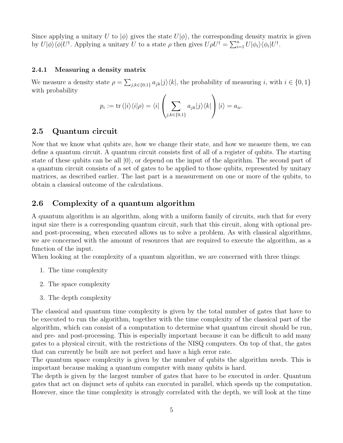Since applying a unitary U to  $|\phi\rangle$  gives the state  $U|\phi\rangle$ , the corresponding density matrix is given by  $U|\phi\rangle\langle\phi|U^{\dagger}$ . Applying a unitary U to a state  $\rho$  then gives  $U\rho U^{\dagger} = \sum_{i=1}^{n} U|\phi_i\rangle\langle\phi_i|U^{\dagger}$ .

#### <span id="page-7-0"></span>2.4.1 Measuring a density matrix

We measure a density state  $\rho = \sum_{j,k \in \{0,1\}} a_{jk} |j\rangle\langle k|$ , the probability of measuring i, with  $i \in \{0,1\}$ with probability

$$
p_i := \text{tr}\left(|i\rangle\langle i|\rho\right) = \langle i|\left(\sum_{j,k\in\{0,1\}} a_{jk}|j\rangle\langle k|\right)|i\rangle = a_{ii}.
$$

#### <span id="page-7-1"></span>2.5 Quantum circuit

Now that we know what qubits are, how we change their state, and how we measure them, we can define a quantum circuit. A quantum circuit consists first of all of a register of qubits. The starting state of these qubits can be all  $|0\rangle$ , or depend on the input of the algorithm. The second part of a quantum circuit consists of a set of gates to be applied to those qubits, represented by unitary matrices, as described earlier. The last part is a measurement on one or more of the qubits, to obtain a classical outcome of the calculations.

#### <span id="page-7-2"></span>2.6 Complexity of a quantum algorithm

A quantum algorithm is an algorithm, along with a uniform family of circuits, such that for every input size there is a corresponding quantum circuit, such that this circuit, along with optional preand post-processing, when executed allows us to solve a problem. As with classical algorithms, we are concerned with the amount of resources that are required to execute the algorithm, as a function of the input.

When looking at the complexity of a quantum algorithm, we are concerned with three things:

- 1. The time complexity
- 2. The space complexity
- 3. The depth complexity

The classical and quantum time complexity is given by the total number of gates that have to be executed to run the algorithm, together with the time complexity of the classical part of the algorithm, which can consist of a computation to determine what quantum circuit should be run, and pre- and post-processing. This is especially important because it can be difficult to add many gates to a physical circuit, with the restrictions of the NISQ computers. On top of that, the gates that can currently be built are not perfect and have a high error rate.

The quantum space complexity is given by the number of qubits the algorithm needs. This is important because making a quantum computer with many qubits is hard.

The depth is given by the largest number of gates that have to be executed in order. Quantum gates that act on disjunct sets of qubits can executed in parallel, which speeds up the computation. However, since the time complexity is strongly correlated with the depth, we will look at the time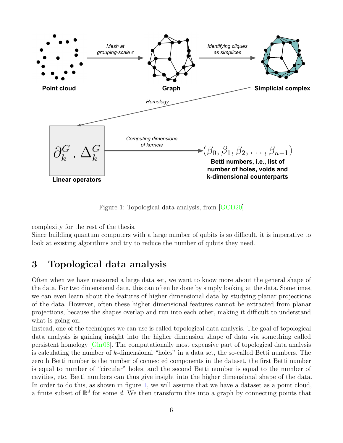

<span id="page-8-1"></span>Figure 1: Topological data analysis, from [\[GCD20\]](#page-27-3)

complexity for the rest of the thesis.

Since building quantum computers with a large number of qubits is so difficult, it is imperative to look at existing algorithms and try to reduce the number of qubits they need.

## <span id="page-8-0"></span>3 Topological data analysis

Often when we have measured a large data set, we want to know more about the general shape of the data. For two dimensional data, this can often be done by simply looking at the data. Sometimes, we can even learn about the features of higher dimensional data by studying planar projections of the data. However, often these higher dimensional features cannot be extracted from planar projections, because the shapes overlap and run into each other, making it difficult to understand what is going on.

Instead, one of the techniques we can use is called topological data analysis. The goal of topological data analysis is gaining insight into the higher dimension shape of data via something called persistent homology [\[Ghr08\]](#page-27-4). The computationally most expensive part of topological data analysis is calculating the number of  $k$ -dimensional "holes" in a data set, the so-called Betti numbers. The zeroth Betti number is the number of connected components in the dataset, the first Betti number is equal to number of "circular" holes, and the second Betti number is equal to the number of cavities, etc. Betti numbers can thus give insight into the higher dimensional shape of the data. In order to do this, as shown in figure [1,](#page-8-1) we will assume that we have a dataset as a point cloud, a finite subset of  $\mathbb{R}^d$  for some d. We then transform this into a graph by connecting points that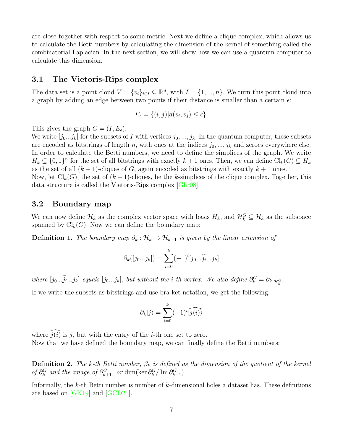are close together with respect to some metric. Next we define a clique complex, which allows us to calculate the Betti numbers by calculating the dimension of the kernel of something called the combinatorial Laplacian. In the next section, we will show how we can use a quantum computer to calculate this dimension.

#### <span id="page-9-0"></span>3.1 The Vietoris-Rips complex

The data set is a point cloud  $V = \{v_i\}_{i \in I} \subseteq \mathbb{R}^d$ , with  $I = \{1, ..., n\}$ . We turn this point cloud into a graph by adding an edge between two points if their distance is smaller than a certain  $\epsilon$ :

$$
E_{\epsilon} = \{(i, j) | d(v_i, v_j) \leq \epsilon\}.
$$

This gives the graph  $G = (I, E_{\epsilon}).$ 

We write  $[j_0...j_k]$  for the subsets of I with vertices  $j_0, ..., j_k$ . In the quantum computer, these subsets are encoded as bitstrings of length n, with ones at the indices  $j_0, ..., j_k$  and zeroes everywhere else. In order to calculate the Betti numbers, we need to define the simplices of the graph. We write  $H_k \subseteq \{0,1\}^n$  for the set of all bitstrings with exactly  $k+1$  ones. Then, we can define  $\text{Cl}_k(G) \subseteq H_k$ as the set of all  $(k + 1)$ -cliques of G, again encoded as bitstrings with exactly  $k + 1$  ones. Now, let  $\text{Cl}_k(G)$ , the set of  $(k+1)$ -cliques, be the k-simplices of the clique complex. Together, this data structure is called the Vietoris-Rips complex [\[Ghr08\]](#page-27-4).

## <span id="page-9-1"></span>3.2 Boundary map

We can now define  $\mathcal{H}_k$  as the complex vector space with basis  $H_k$ , and  $\mathcal{H}_k^G \subseteq \mathcal{H}_k$  as the subspace spanned by  $\text{Cl}_k(G)$ . Now we can define the boundary map:

**Definition 1.** The boundary map  $\partial_k : \mathcal{H}_k \to \mathcal{H}_{k-1}$  is given by the linear extension of

$$
\partial_k([j_0...j_k]) = \sum_{i=0}^k (-1)^i [j_0...j_i...j_k]
$$

where  $[j_0...j_i...j_k]$  equals  $[j_0...j_k]$ , but without the *i*-th vertex. We also define  $\partial_k^G = \partial_k|_{\mathcal{H}_k^G}$ .

If we write the subsets as bitstrings and use bra-ket notation, we get the following:

$$
\partial_k|j\rangle = \sum_{i=0}^k (-1)^i |\widehat{j(i)}\rangle
$$

where  $\widehat{j(i)}$  is j, but with the entry of the *i*-th one set to zero. Now that we have defined the boundary map, we can finally define the Betti numbers:

**Definition 2.** The k-th Betti number,  $\beta_k$  is defined as the dimension of the quotient of the kernel of  $\partial_k^G$  and the image of  $\partial_{k+1}^G$ , or dim(ker  $\partial_k^G / \text{Im } \partial_{k+1}^G$ ).

Informally, the k-th Betti number is number of  $k$ -dimensional holes a dataset has. These definitions are based on [\[GK19\]](#page-27-5) and [\[GCD20\]](#page-27-3).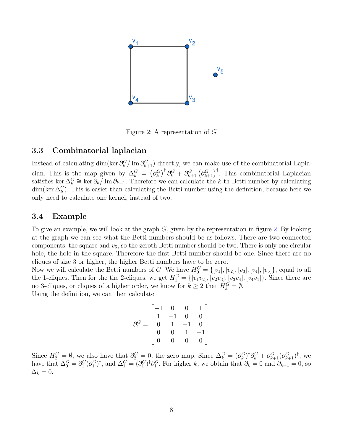

<span id="page-10-2"></span>Figure 2: A representation of G

#### <span id="page-10-0"></span>3.3 Combinatorial laplacian

Instead of calculating dim(ker  $\partial_k^G/\text{Im }\partial_{k+1}^G$ ) directly, we can make use of the combinatorial Laplacian. This is the map given by  $\Delta_k^G = (\partial_k^G)^{\dagger} \partial_k^G + \partial_{k+1}^G (\partial_{k+1}^G)^{\dagger}$ . This combinatorial Laplacian satisfies ker  $\Delta_k^G \cong \ker \partial_k / \operatorname{Im} \partial_{k+1}$ . Therefore we can calculate the k-th Betti number by calculating  $\dim(\ker \Delta_k^G)$ . This is easier than calculating the Betti number using the definition, because here we only need to calculate one kernel, instead of two.

#### <span id="page-10-1"></span>3.4 Example

To give an example, we will look at the graph G, given by the representation in figure [2.](#page-10-2) By looking at the graph we can see what the Betti numbers should be as follows. There are two connected components, the square and  $v_5$ , so the zeroth Betti number should be two. There is only one circular hole, the hole in the square. Therefore the first Betti number should be one. Since there are no cliques of size 3 or higher, the higher Betti numbers have to be zero.

Now we will calculate the Betti numbers of G. We have  $H_0^G = \{[v_1], [v_2], [v_3], [v_4], [v_5]\}$ , equal to all the 1-cliques. Then for the the 2-cliques, we get  $H_1^G = \{ [v_1v_2], [v_2v_3], [v_3v_4], [v_4v_1] \}$ . Since there are no 3-cliques, or cliques of a higher order, we know for  $k \geq 2$  that  $H_k^G = \emptyset$ . Using the definition, we can then calculate

$$
\partial^G_1 = \begin{bmatrix} -1 & 0 & 0 & 1 \\ 1 & -1 & 0 & 0 \\ 0 & 1 & -1 & 0 \\ 0 & 0 & 1 & -1 \\ 0 & 0 & 0 & 0 \end{bmatrix}
$$

Since  $H_2^G = \emptyset$ , we also have that  $\partial_2^G = 0$ , the zero map. Since  $\Delta_k^G = (\partial_k^G)^\dagger \partial_k^G + \partial_{k+1}^G (\partial_{k+1}^G)^\dagger$ , we have that  $\Delta_0^G = \partial_1^G (\partial_1^G)^{\dagger}$ , and  $\Delta_1^G = (\partial_1^G)^{\dagger} \partial_1^G$ . For higher k, we obtain that  $\partial_k = 0$  and  $\partial_{k+1} = 0$ , so  $\Delta_k = 0.$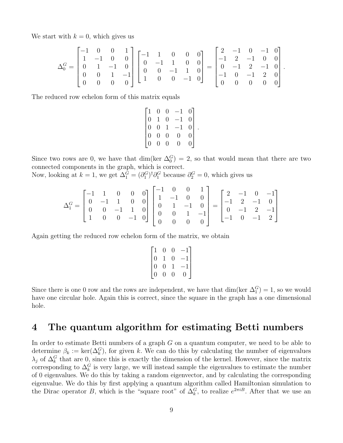We start with  $k = 0$ , which gives us

$$
\Delta_0^G = \begin{bmatrix} -1 & 0 & 0 & 1 \\ 1 & -1 & 0 & 0 \\ 0 & 1 & -1 & 0 \\ 0 & 0 & 1 & -1 \\ 0 & 0 & 0 & 0 \end{bmatrix} \begin{bmatrix} -1 & 1 & 0 & 0 & 0 \\ 0 & -1 & 1 & 0 & 0 \\ 0 & 0 & -1 & 1 & 0 \\ 1 & 0 & 0 & -1 & 0 \end{bmatrix} = \begin{bmatrix} 2 & -1 & 0 & -1 & 0 \\ -1 & 2 & -1 & 0 & 0 \\ 0 & -1 & 2 & -1 & 0 \\ -1 & 0 & -1 & 2 & 0 \\ 0 & 0 & 0 & 0 & 0 \end{bmatrix}.
$$

The reduced row echelon form of this matrix equals

$$
\begin{bmatrix} 1 & 0 & 0 & -1 & 0 \ 0 & 1 & 0 & -1 & 0 \ 0 & 0 & 1 & -1 & 0 \ 0 & 0 & 0 & 0 & 0 \ 0 & 0 & 0 & 0 & 0 \end{bmatrix}.
$$

Since two rows are 0, we have that dim(ker  $\Delta_0^G$ ) = 2, so that would mean that there are two connected components in the graph, which is correct.

Now, looking at  $k = 1$ , we get  $\Delta_1^G = (\partial_1^G)^\dagger \partial_1^G$  because  $\partial_2^G = 0$ , which gives us

$$
\Delta_1^G = \begin{bmatrix} -1 & 1 & 0 & 0 & 0 \\ 0 & -1 & 1 & 0 & 0 \\ 0 & 0 & -1 & 1 & 0 \\ 1 & 0 & 0 & -1 & 0 \end{bmatrix} \begin{bmatrix} -1 & 0 & 0 & 1 \\ 1 & -1 & 0 & 0 \\ 0 & 1 & -1 & 0 \\ 0 & 0 & 1 & -1 \\ 0 & 0 & 0 & 0 \end{bmatrix} = \begin{bmatrix} 2 & -1 & 0 & -1 \\ -1 & 2 & -1 & 0 \\ 0 & -1 & 2 & -1 \\ -1 & 0 & -1 & 2 \end{bmatrix}
$$

Again getting the reduced row echelon form of the matrix, we obtain

$$
\begin{bmatrix} 1 & 0 & 0 & -1 \\ 0 & 1 & 0 & -1 \\ 0 & 0 & 1 & -1 \\ 0 & 0 & 0 & 0 \end{bmatrix}
$$

Since there is one 0 row and the rows are independent, we have that dim(ker  $\Delta_1^G$ ) = 1, so we would have one circular hole. Again this is correct, since the square in the graph has a one dimensional hole.

## <span id="page-11-0"></span>4 The quantum algorithm for estimating Betti numbers

In order to estimate Betti numbers of a graph G on a quantum computer, we need to be able to determine  $\beta_k := \ker(\Delta_k^G)$ , for given k. We can do this by calculating the number of eigenvalues  $\lambda_j$  of  $\Delta_k^G$  that are 0, since this is exactly the dimension of the kernel. However, since the matrix corresponding to  $\Delta_k^G$  is very large, we will instead sample the eigenvalues to estimate the number of 0 eigenvalues. We do this by taking a random eigenvector, and by calculating the corresponding eigenvalue. We do this by first applying a quantum algorithm called Hamiltonian simulation to the Dirac operator B, which is the "square root" of  $\Delta_k^G$ , to realize  $e^{2\pi iB}$ . After that we use an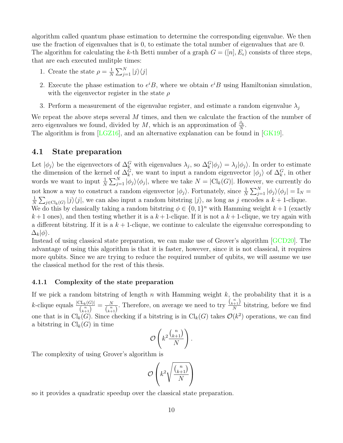algorithm called quantum phase estimation to determine the corresponding eigenvalue. We then use the fraction of eigenvalues that is 0, to estimate the total number of eigenvalues that are 0. The algorithm for calculating the k-th Betti number of a graph  $G = ([n], E_{\epsilon})$  consists of three steps, that are each executed mulitple times:

- 1. Create the state  $\rho = \frac{1}{N}$  $\frac{1}{N} \sum_{j=1}^{N} |j\rangle\langle j|$
- 2. Execute the phase estimation to  $e^{i}B$ , where we obtain  $e^{i}B$  using Hamiltonian simulation, with the eigenvector register in the state  $\rho$
- 3. Perform a measurement of the eigenvalue register, and estimate a random eigenvalue  $\lambda_i$

We repeat the above steps several  $M$  times, and then we calculate the fraction of the number of zero eigenvalues we found, divided by  $M$ , which is an approximation of  $\frac{\beta_k}{N}$ .

The algorithm is from [\[LGZ16\]](#page-27-6), and an alternative explanation can be found in [\[GK19\]](#page-27-5).

#### <span id="page-12-0"></span>4.1 State preparation

Let  $|\phi_j\rangle$  be the eigenvectors of  $\Delta_k^G$  with eigenvalues  $\lambda_j$ , so  $\Delta_k^G|\phi_j\rangle = \lambda_j|\phi_j\rangle$ . In order to estimate the dimension of the kernel of  $\Delta_k^G$ , we want to input a random eigenvector  $|\phi_j\rangle$  of  $\Delta_k^G$ , in other words we want to input  $\frac{1}{N} \sum_{j=1}^{N} |\phi_j\rangle\langle\phi_j|$ , where we take  $N = |Cl_k(G)|$ . However, we currently do not know a way to construct a random eigenvector  $|\phi_j\rangle$ . Fortunately, since  $\frac{1}{N}\sum_{j=1}^N |\phi_j\rangle\langle\phi_j| = \mathbb{I}_N$ 1  $\frac{1}{N}\sum_{j\in\text{Cl}_k(G)}|j\rangle\langle j|$ , we can also input a random bitstring  $|j\rangle$ , as long as j encodes a  $k+1$ -clique. We do this by classically taking a random bitstring  $\phi \in \{0,1\}^n$  with Hamming weight  $k+1$  (exactly

 $k+1$  ones), and then testing whether it is a  $k+1$ -clique. If it is not a  $k+1$ -clique, we try again with a different bitstring. If it is a  $k + 1$ -clique, we continue to calculate the eigenvalue corresponding to  $\Delta_k|\phi\rangle$ .

Instead of using classical state preparation, we can make use of Grover's algorithm [\[GCD20\]](#page-27-3). The advantage of using this algorithm is that it is faster, however, since it is not classical, it requires more qubits. Since we are trying to reduce the required number of qubits, we will assume we use the classical method for the rest of this thesis.

#### <span id="page-12-1"></span>4.1.1 Complexity of the state preparation

If we pick a random bitstring of length  $n$  with Hamming weight  $k$ , the probability that it is a k-clique equals  $\frac{|CL_k(G)|}{\binom{n}{k+1}} = \frac{N}{\binom{n}{k+1}}$  $\frac{N}{\binom{n}{k+1}}$ . Therefore, on average we need to try  $\frac{\binom{n}{k+1}}{N}$  $\frac{n+1}{N}$  bitstring, before we find one that is in  $\text{Cl}_k(G)$ . Since checking if a bitstring is in  $\text{Cl}_k(G)$  takes  $\mathcal{O}(k^2)$  operations, we can find a bitstring in  $\text{Cl}_k(G)$  in time

$$
\mathcal{O}\left(k^2\frac{\binom{n}{k+1}}{N}\right).
$$

The complexity of using Grover's algorithm is

$$
\mathcal{O}\left(k^2\sqrt{\frac{\binom{n}{k+1}}{N}}\right)
$$

so it provides a quadratic speedup over the classical state preparation.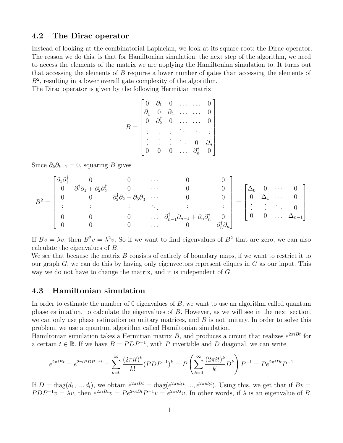#### <span id="page-13-0"></span>4.2 The Dirac operator

Instead of looking at the combinatorial Laplacian, we look at its square root: the Dirac operator. The reason we do this, is that for Hamiltonian simulation, the next step of the algorithm, we need to access the elements of the matrix we are applying the Hamiltonian simulation to. It turns out that accessing the elements of B requires a lower number of gates than accessing the elements of  $B<sup>2</sup>$ , resulting in a lower overall gate complexity of the algorithm.

The Dirac operator is given by the following Hermitian matrix:

$$
B = \begin{bmatrix} 0 & \partial_1 & 0 & \dots & \dots & 0 \\ \partial_1^{\dagger} & 0 & \partial_2 & \dots & \dots & 0 \\ 0 & \partial_2^{\dagger} & 0 & \dots & \dots & 0 \\ \vdots & \vdots & \vdots & \ddots & \ddots & \vdots \\ \vdots & \vdots & \vdots & \ddots & 0 & \partial_n \\ 0 & 0 & 0 & \dots & \partial_n^{\dagger} & 0 \end{bmatrix}
$$

Since  $\partial_k \partial_{k+1} = 0$ , squaring B gives

 $\mathbf{r}$ 

$$
B^2 = \begin{bmatrix} \partial_1 \partial_1^{\dagger} & 0 & 0 & \cdots & 0 & 0 \\ 0 & \partial_1^{\dagger} \partial_1 + \partial_2 \partial_2^{\dagger} & 0 & \cdots & 0 & 0 \\ 0 & 0 & \partial_2^{\dagger} \partial_2 + \partial_3 \partial_3^{\dagger} & \cdots & 0 & 0 \\ \vdots & \vdots & \vdots & \ddots & \vdots & \vdots \\ 0 & 0 & 0 & \cdots & \partial_{n-1}^{\dagger} \partial_{n-1} + \partial_n \partial_n^{\dagger} & 0 \\ 0 & 0 & 0 & \cdots & 0 & \partial_n^{\dagger} \partial_n \end{bmatrix} = \begin{bmatrix} \Delta_0 & 0 & \cdots & 0 \\ 0 & \Delta_1 & \cdots & 0 \\ \vdots & \vdots & \ddots & 0 \\ 0 & 0 & \cdots & \Delta_{n-1} \end{bmatrix}
$$

If  $Bv = \lambda v$ , then  $B^2v = \lambda^2 v$ . So if we want to find eigenvalues of  $B^2$  that are zero, we can also calculate the eigenvalues of B.

We see that because the matrix  $B$  consists of entirely of boundary maps, if we want to restrict it to our graph  $G$ , we can do this by having only eigenvectors represent cliques in  $G$  as our input. This way we do not have to change the matrix, and it is independent of G.

#### <span id="page-13-1"></span>4.3 Hamiltonian simulation

In order to estimate the number of 0 eigenvalues of  $B$ , we want to use an algorithm called quantum phase estimation, to calculate the eigenvalues of B. However, as we will see in the next section, we can only use phase estimation on unitary matrices, and  $B$  is not unitary. In order to solve this problem, we use a quantum algorithm called Hamiltonian simulation.

Hamiltonian simulation takes a Hermitian matrix B, and produces a circuit that realizes  $e^{2\pi iBt}$  for a certain  $t \in \mathbb{R}$ . If we have  $B = PDP^{-1}$ , with P invertible and D diagonal, we can write

$$
e^{2\pi iBt} = e^{2\pi iPDP^{-1}t} = \sum_{k=0}^{\infty} \frac{(2\pi i t)^k}{k!} (PDP^{-1})^k = P\left(\sum_{k=0}^{\infty} \frac{(2\pi i t)^k}{k!} D^k\right) P^{-1} = P e^{2\pi iDt} P^{-1}
$$

If  $D = diag(d_1, ..., d_l)$ , we obtain  $e^{2\pi iDt} = diag(e^{2\pi i d_1 t}, ..., e^{2\pi i d_l t})$ . Using this, we get that if  $Bv =$  $PDP^{-1}v = \lambda v$ , then  $e^{2\pi iBt}v = Pe^{2\pi iDt}P^{-1}v = e^{2\pi i\lambda t}v$ . In other words, if  $\lambda$  is an eigenvalue of B,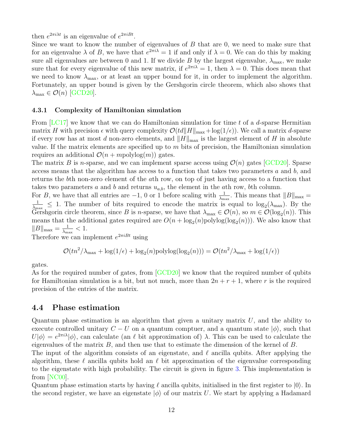then  $e^{2\pi i \lambda t}$  is an eigenvalue of  $e^{2\pi i B t}$ .

Since we want to know the number of eigenvalues of  $B$  that are 0, we need to make sure that for an eigenvalue  $\lambda$  of B, we have that  $e^{2\pi i \lambda} = 1$  if and only if  $\lambda = 0$ . We can do this by making sure all eigenvalues are between 0 and 1. If we divide B by the largest eigenvalue,  $\lambda_{\text{max}}$ , we make sure that for every eigenvalue of this new matrix, if  $e^{2\pi i \lambda} = 1$ , then  $\lambda = 0$ . This does mean that we need to know  $\lambda_{\text{max}}$ , or at least an upper bound for it, in order to implement the algorithm. Fortunately, an upper bound is given by the Gershgorin circle theorem, which also shows that  $\lambda_{\max} \in \mathcal{O}(n)$  [\[GCD20\]](#page-27-3).

#### <span id="page-14-0"></span>4.3.1 Complexity of Hamiltonian simulation

From  $[LC17]$  we know that we can do Hamiltonian simulation for time t of a d-sparse Hermitian matrix H with precision  $\epsilon$  with query complexity  $\mathcal{O}(td||H||_{\max} + \log(1/\epsilon))$ . We call a matrix d-sparse if every row has at most d non-zero elements, and  $||H||_{\text{max}}$  is the largest element of H in absolute value. If the matrix elements are specified up to  $m$  bits of precision, the Hamiltonian simulation requires an additional  $\mathcal{O}(n + m \text{polylog}(m))$  gates.

The matrix B is *n*-sparse, and we can implement sparse access using  $\mathcal{O}(n)$  gates [\[GCD20\]](#page-27-3). Sparse access means that the algorithm has access to a function that takes two parameters  $a$  and  $b$ , and returns the bth non-zero element of the ath row, on top of just having access to a function that takes two parameters a and b and returns  $u_{a,b}$ , the element in the ath row, bth column.

For B, we have that all entries are  $-1$ , 0 or 1 before scaling with  $\frac{1}{\lambda_{\max}}$ . This means that  $||B||_{\max} =$ 1  $\frac{1}{\lambda_{\max}} \leq 1$ . The number of bits required to encode the matrix is equal to  $\log_2(\lambda_{\max})$ . By the Gershgorin circle theorem, since B is n-sparse, we have that  $\lambda_{\max} \in \mathcal{O}(n)$ , so  $m \in \mathcal{O}(\log_2(n))$ . This means that the additional gates required are  $O(n + \log_2(n)polylog(\log_2(n)))$ . We also know that  $||B||_{\text{max}} = \frac{1}{\lambda_{\text{max}}}$  $\frac{1}{\lambda_{\max}} < 1.$ 

Therefore we can implement  $e^{2\pi iBt}$  using

$$
\mathcal{O}(tn^2/\lambda_{\max} + \log(1/\epsilon) + \log_2(n)\text{polylog}(\log_2(n))) = \mathcal{O}(tn^2/\lambda_{\max} + \log(1/\epsilon))
$$

gates.

As for the required number of gates, from [\[GCD20\]](#page-27-3) we know that the required number of qubits for Hamiltonian simulation is a bit, but not much, more than  $2n + r + 1$ , where r is the required precision of the entries of the matrix.

#### <span id="page-14-1"></span>4.4 Phase estimation

Quantum phase estimation is an algorithm that given a unitary matrix  $U$ , and the ability to execute controlled unitary  $C-U$  on a quantum comptuer, and a quantum state  $|\phi\rangle$ , such that  $U|\phi\rangle = e^{2\pi i \lambda} |\phi\rangle$ , can calculate (an  $\ell$  bit approximation of)  $\lambda$ . This can be used to calculate the eigenvalues of the matrix  $B$ , and then use that to estimate the dimension of the kernel of  $B$ .

The input of the algorithm consists of an eigenstate, and  $\ell$  ancilla qubits. After applying the algorithm, these  $\ell$  ancilla qubits hold an  $\ell$  bit approximation of the eigenvalue corresponding to the eigenstate with high probability. The circuit is given in figure [3.](#page-15-1) This implementation is from [\[NC00\]](#page-27-8).

Quantum phase estimation starts by having  $\ell$  ancilla qubits, initialised in the first register to  $|0\rangle$ . In the second register, we have an eigenstate  $|\phi\rangle$  of our matrix U. We start by applying a Hadamard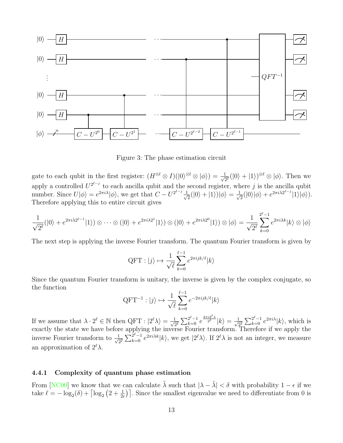

<span id="page-15-1"></span>Figure 3: The phase estimation circuit

gate to each qubit in the first register:  $(H^{\otimes l} \otimes I)(|0\rangle^{\otimes l} \otimes |\phi\rangle) = \frac{1}{\sqrt{2^{\ell}}}(|0\rangle + |1\rangle)^{\otimes \ell} \otimes |\phi\rangle$ . Then we 2 apply a controlled  $U^{2^{\ell-j}}$  to each ancilla qubit and the second register, where j is the ancilla qubit number. Since  $U|\phi\rangle = e^{2\pi i \lambda} |\phi\rangle$ , we get that  $C - U^{2^{\ell-j}} \frac{1}{\sqrt{k}}$  $\frac{1}{2}(|0\rangle+|1\rangle)|\phi\rangle=\frac{1}{\sqrt{2}}$  $\overline{a}_{\overline{2}}(|0\rangle|\phi\rangle + e^{2\pi i\lambda 2^{\ell-j}}|1\rangle|\phi\rangle).$ Therefore applying this to entire circuit gives

$$
\frac{1}{\sqrt{2^{\ell}}}(|0\rangle + e^{2\pi i \lambda 2^{\ell-1}}|1\rangle) \otimes \cdots \otimes (|0\rangle + e^{2\pi i \lambda 2^1}|1\rangle) \otimes (|0\rangle + e^{2\pi i \lambda 2^0}|1\rangle) \otimes |\phi\rangle = \frac{1}{\sqrt{2^{\ell}}} \sum_{k=0}^{2^{\ell}-1} e^{2\pi i \lambda k} |k\rangle \otimes |\phi\rangle
$$

The next step is applying the inverse Fourier transform. The quantum Fourier transform is given by

QFT: 
$$
|j\rangle \mapsto \frac{1}{\sqrt{\ell}} \sum_{k=0}^{\ell-1} e^{2\pi i j k/\ell} |k\rangle
$$

Since the quantum Fourier transform is unitary, the inverse is given by the complex conjugate, so the function

$$
\text{QFT}^{-1}: |j\rangle \mapsto \frac{1}{\sqrt{\ell}} \sum_{k=0}^{\ell-1} e^{-2\pi i j k/\ell} |k\rangle
$$

If we assume that  $\lambda \cdot 2^{\ell} \in \mathbb{N}$  then  $\text{QFT}: |2^{\ell}\lambda\rangle = \frac{1}{\sqrt{\ell}}$  $\frac{1}{2^{\ell}}\sum_{k=0}^{2^{\ell}-1}e^{\frac{2\pi i2^{\ell}\lambda}{2^{\ell}}}|k\rangle=\frac{1}{\sqrt{2}}$  $\frac{1}{2^{\ell}}\sum_{k=0}^{2^{\ell}-1}e^{2\pi i\lambda}|k\rangle$ , which is exactly the state we have before applying the inverse Fourier transform. Therefore if we apply the inverse Fourier transform to  $\frac{1}{\sqrt{6}}$  $\frac{1}{2^{\ell}}\sum_{k=0}^{2^{\ell}-1}e^{2\pi i\lambda k}|k\rangle$ , we get  $|2^{\ell}\lambda\rangle$ . If  $2^{\ell}\lambda$  is not an integer, we measure an approximation of  $2^{\ell}\lambda$ .

#### <span id="page-15-0"></span>4.4.1 Complexity of quantum phase estimation

From [\[NC00\]](#page-27-8) we know that we can calculate  $\tilde{\lambda}$  such that  $|\lambda - \tilde{\lambda}| < \delta$  with probability  $1 - \epsilon$  if we take  $\ell = -\log_2(\delta) + \left\lceil \log_2(2 + \frac{1}{2\epsilon}) \right\rceil$ . Since the smallest eigenvalue we need to differentiate from 0 is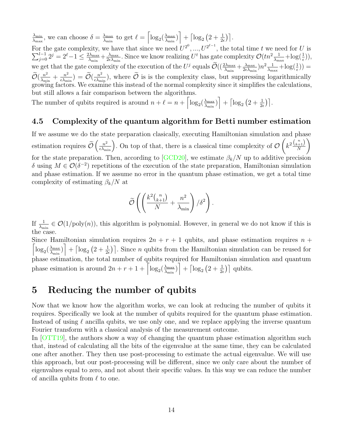$\lambda_{\text{min}}$  $\frac{\lambda_{\min}}{\lambda_{\max}}$ , we can choose  $\delta = \frac{\lambda_{\max}}{\lambda_{\min}}$  $\frac{\lambda_{\max}}{\lambda_{\min}}$  to get  $\ell = \left\lceil \log_2(\frac{\lambda_{\max}}{\lambda_{\min}}\right\rceil$  $\left[\lambda_{\text{max}}\over \lambda_{\text{min}}\right] + \left[\log_2\left(2+\frac{1}{2\epsilon}\right)\right].$ 

For the gate complexity, we have that since we need  $U^{2^0}, ..., U^{2^{\ell-1}}$  $\sum$ r the gate complexity, we have that since we need  $U^{2^0},..., U^{2^{t-1}}$ , the total time t we need for U is  $\frac{l-1}{j=0}2^j = 2^l - 1 \le \frac{2\lambda_{\max}}{\lambda_{\min}} + \frac{\lambda_{\max}}{2\epsilon\lambda_{\min}}$ . Since we know realizing  $U^t$  has gate complexity  $\mathcal{O$  $\frac{2 \lambda_{\max}}{\lambda_{\min}} + \frac{\lambda_{\max}}{2 \epsilon \lambda_{\min}}$  $\frac{\lambda_{\max}}{2\epsilon\lambda_{\min}}$ . Since we know realizing  $U^t$  has gate complexity  $\mathcal{O}(tn^2\frac{1}{\lambda_{\max}} + \log(\frac{1}{\epsilon}))$  $(\frac{1}{\epsilon})),$ we get that the gate complexity of the execution of the  $U^j$  equals  $\widetilde{\mathcal{O}}((\frac{2\lambda_{\max}}{\lambda_{\min}} + \frac{\lambda_{\max}}{2\epsilon\lambda_{\min}}))$  $\frac{\lambda_{\max}}{2\epsilon\lambda_{\min}}$ ) $n^2\frac{1}{\lambda_{\min}}$  $\frac{1}{\lambda_{\max}} + \log(\frac{1}{\epsilon})$  $(\frac{1}{\epsilon})$ ) =  $\widetilde{\mathcal{O}}(\frac{n^2}{\lambda_{\mathrm{mi}}}$  $\frac{n^2}{\lambda_{\min}} + \frac{n^2}{\epsilon \lambda_{\min}}$  $\frac{n^2}{\epsilon\lambda_{\min}}) = \widetilde{\mathcal{O}}(\frac{n^2}{\epsilon\lambda_{\min}})$  $\frac{n^2}{\epsilon \lambda_{\min}}$ ), where  $\mathcal O$  is is the complexity class, but suppressing logarithmically growing factors. We examine this instead of the normal complexity since it simplifies the calculations, but still allows a fair comparison between the algorithms.

The number of qubits required is around  $n + \ell = n + \left[ \log_2(\frac{\lambda_{\text{max}}}{\lambda_{\text{min}}}) \right]$  $\left[\lambda_{\text{max}}\over \lambda_{\text{min}}\right)\right]+\left\lceil\log_2\left(2+\frac{1}{2\epsilon}\right)\right\rceil.$ 

#### <span id="page-16-0"></span>4.5 Complexity of the quantum algorithm for Betti number estimation

If we assume we do the state preparation clasically, executing Hamiltonian simulation and phase estimation requires  $\widetilde{\mathcal{O}}\left(\frac{n^2}{\epsilon\lambda_{\min}}\right)$ . On top of that, there is a classical time complexity of  $\mathcal{O}$  $\sqrt{ }$  $k^2 \frac{\binom{n}{k+1}}{N}$ N  $\setminus$ for the state preparation. Then, according to [\[GCD20\]](#page-27-3), we estimate  $\beta_k/N$  up to additive precision δ using  $M ∈ \mathcal{O}(\delta^{-2})$  repetitions of the execution of the state preparation, Hamiltonian simulation and phase estimation. If we assume no error in the quantum phase estimation, we get a total time complexity of estimating  $\beta_k/N$  at

$$
\widetilde{\mathcal{O}}\left(\left(\frac{k^2\binom{n}{k+1}}{N}+\frac{n^2}{\lambda_{\min}}\right)/\delta^2\right).
$$

If  $\frac{1}{\lambda_{\min}} \in \mathcal{O}(1/\text{poly}(n))$ , this algorithm is polynomial. However, in general we do not know if this is the case.

Since Hamiltonian simulation requires  $2n + r + 1$  qubits, and phase estimation requires  $n +$  $\lceil log_2(\frac{\lambda_{\max}}{\lambda_{\min}}\rceil)$  $\left(\frac{\lambda_{\text{max}}}{\lambda_{\text{min}}}\right)^2 + \left[\log_2\left(2+\frac{1}{2\epsilon}\right)\right]$ . Since *n* qubits from the Hamiltonian simulation can be reused for phase estimation, the total number of qubits required for Hamiltonian simulation and quantum phase esimation is around  $2n + r + 1 + \left[ \log_2(\frac{\lambda_{\text{max}}}{\lambda_{\text{min}}}) \right]$  $\left[\frac{\lambda_{\text{max}}}{\lambda_{\text{min}}}\right] + \left[\log_2\left(2 + \frac{1}{2\epsilon}\right)\right]$  qubits.

## <span id="page-16-1"></span>5 Reducing the number of qubits

Now that we know how the algorithm works, we can look at reducing the number of qubits it requires. Specifically we look at the number of qubits required for the quantum phase estimation. Instead of using  $\ell$  ancilla qubits, we use only one, and we replace applying the inverse quantum Fourier transform with a classical analysis of the measurement outcome.

In [\[OTT19\]](#page-27-9), the authors show a way of changing the quantum phase estimation algorithm such that, instead of calculating all the bits of the eigenvalue at the same time, they can be calculated one after another. They then use post-processing to estimate the actual eigenvalue. We will use this approach, but our post-processing will be different, since we only care about the number of eigenvalues equal to zero, and not about their specific values. In this way we can reduce the number of ancilla qubits from  $\ell$  to one.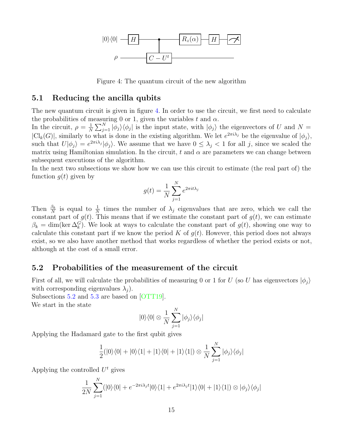

<span id="page-17-2"></span>Figure 4: The quantum circuit of the new algorithm

#### <span id="page-17-0"></span>5.1 Reducing the ancilla qubits

The new quantum circuit is given in figure [4.](#page-17-2) In order to use the circuit, we first need to calculate the probabilities of measuring 0 or 1, given the variables t and  $\alpha$ .

In the circuit,  $\rho = \frac{1}{N}$  $\frac{1}{N}\sum_{j=1}^{N}|\phi_j\rangle\langle\phi_j|$  is the input state, with  $|\phi_j\rangle$  the eigenvectors of U and N =  $|Cl_k(G)|$ , similarly to what is done in the existing algorithm. We let  $e^{2\pi i\lambda_j}$  be the eigenvalue of  $|\phi_j\rangle$ , such that  $U|\phi_j\rangle = e^{2\pi i \lambda_j} |\phi_j\rangle$ . We assume that we have  $0 \leq \lambda_j < 1$  for all j, since we scaled the matrix using Hamiltonian simulation. In the circuit, t and  $\alpha$  are parameters we can change between subsequent executions of the algorithm.

In the next two subsections we show how we can use this circuit to estimate (the real part of) the function  $q(t)$  given by

$$
g(t) = \frac{1}{N} \sum_{j=1}^{N} e^{2\pi i t \lambda_j}
$$

Then  $\frac{\beta_k}{N}$  is equal to  $\frac{1}{N}$  times the number of  $\lambda_j$  eigenvalues that are zero, which we call the constant part of  $g(t)$ . This means that if we estimate the constant part of  $g(t)$ , we can estimate  $\beta_k = \dim(\ker \Delta_k^G)$ . We look at ways to calculate the constant part of  $g(t)$ , showing one way to calculate this constant part if we know the period K of  $g(t)$ . However, this period does not always exist, so we also have another method that works regardless of whether the period exists or not, although at the cost of a small error.

#### <span id="page-17-1"></span>5.2 Probabilities of the measurement of the circuit

First of all, we will calculate the probabilities of measuring 0 or 1 for U (so U has eigenvectors  $|\phi_i\rangle$ ) with corresponding eigenvalues  $\lambda_i$ ).

Subsections [5.2](#page-17-1) and [5.3](#page-19-0) are based on [\[OTT19\]](#page-27-9). We start in the state

$$
|0\rangle\langle 0| \otimes \frac{1}{N} \sum_{j=1}^{N} |\phi_j\rangle\langle \phi_j|
$$

Applying the Hadamard gate to the first qubit gives

$$
\frac{1}{2}(|0\rangle\langle 0|+|0\rangle\langle 1|+|1\rangle\langle 0|+|1\rangle\langle 1|)\otimes\frac{1}{N}\sum_{j=1}^{N}|\phi_j\rangle\langle\phi_j|
$$

Applying the controlled  $U^t$  gives

$$
\frac{1}{2N} \sum_{j=1}^{N} (|0\rangle\langle 0| + e^{-2\pi i \lambda_j t} |0\rangle\langle 1| + e^{2\pi i \lambda_j t} |1\rangle\langle 0| + |1\rangle\langle 1|) \otimes |\phi_j\rangle\langle \phi_j|
$$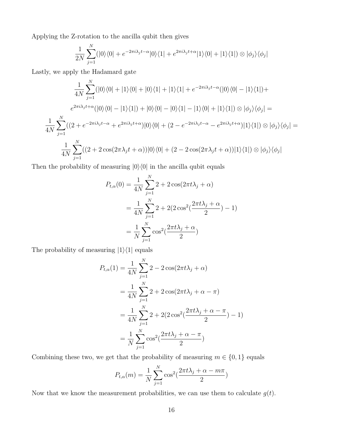Applying the Z-rotation to the ancilla qubit then gives

$$
\frac{1}{2N} \sum_{j=1}^{N} (|0\rangle\langle 0| + e^{-2\pi i \lambda_j t - \alpha} |0\rangle\langle 1| + e^{2\pi i \lambda_j t + \alpha} |1\rangle\langle 0| + |1\rangle\langle 1|) \otimes |\phi_j\rangle\langle\phi_j|
$$

Lastly, we apply the Hadamard gate

$$
\frac{1}{4N} \sum_{j=1}^{N} (|0\rangle\langle0| + |1\rangle\langle0| + |0\rangle\langle1| + |1\rangle\langle1| + e^{-2\pi i\lambda_j t - \alpha} (|0\rangle\langle0| - |1\rangle\langle1|) +
$$
  
\n
$$
e^{2\pi i\lambda_j t + \alpha} (|0\rangle\langle0| - |1\rangle\langle1|) + |0\rangle\langle0| - |0\rangle\langle1| - |1\rangle\langle0| + |1\rangle\langle1|) \otimes |\phi_j\rangle\langle\phi_j| =
$$
  
\n
$$
\frac{1}{4N} \sum_{j=1}^{N} ((2 + e^{-2\pi i\lambda_j t - \alpha} + e^{2\pi i\lambda_j t + \alpha}) |0\rangle\langle0| + (2 - e^{-2\pi i\lambda_j t - \alpha} - e^{2\pi i\lambda_j t + \alpha}) |1\rangle\langle1|) \otimes |\phi_j\rangle\langle\phi_j| =
$$
  
\n
$$
\frac{1}{4N} \sum_{j=1}^{N} ((2 + 2\cos(2\pi \lambda_j t + \alpha)) |0\rangle\langle0| + (2 - 2\cos(2\pi \lambda_j t + \alpha)) |1\rangle\langle1|) \otimes |\phi_j\rangle\langle\phi_j|
$$

Then the probability of measuring  $|0\rangle\langle 0|$  in the ancilla qubit equals

$$
P_{t,\alpha}(0) = \frac{1}{4N} \sum_{j=1}^{N} 2 + 2 \cos(2\pi t \lambda_j + \alpha)
$$
  
= 
$$
\frac{1}{4N} \sum_{j=1}^{N} 2 + 2(2 \cos^2(\frac{2\pi t \lambda_j + \alpha}{2}) - 1)
$$
  
= 
$$
\frac{1}{N} \sum_{j=1}^{N} \cos^2(\frac{2\pi t \lambda_j + \alpha}{2})
$$

The probability of measuring  $|1\rangle\langle 1|$  equals

$$
P_{t,\alpha}(1) = \frac{1}{4N} \sum_{j=1}^{N} 2 - 2 \cos(2\pi t \lambda_j + \alpha)
$$
  
= 
$$
\frac{1}{4N} \sum_{j=1}^{N} 2 + 2 \cos(2\pi t \lambda_j + \alpha - \pi)
$$
  
= 
$$
\frac{1}{4N} \sum_{j=1}^{N} 2 + 2(2 \cos^2(\frac{2\pi t \lambda_j + \alpha - \pi}{2}) - 1)
$$
  
= 
$$
\frac{1}{N} \sum_{j=1}^{N} \cos^2(\frac{2\pi t \lambda_j + \alpha - \pi}{2})
$$

Combining these two, we get that the probability of measuring  $m \in \{0, 1\}$  equals

$$
P_{t,\alpha}(m) = \frac{1}{N} \sum_{j=1}^{N} \cos^2(\frac{2\pi t \lambda_j + \alpha - m\pi}{2})
$$

Now that we know the measurement probabilities, we can use them to calculate  $g(t)$ .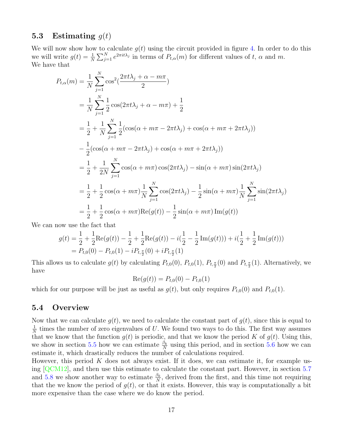#### <span id="page-19-0"></span>5.3 Estimating  $g(t)$

We will now show how to calculate  $g(t)$  using the circuit provided in figure [4.](#page-17-2) In order to do this we will write  $g(t) = \frac{1}{N} \sum_{j=1}^{N} e^{2\pi i t \lambda_j}$  in terms of  $P_{t,\alpha}(m)$  for different values of t,  $\alpha$  and  $m$ . We have that

$$
P_{t,\alpha}(m) = \frac{1}{N} \sum_{j=1}^{N} \cos^{2}(\frac{2\pi t\lambda_{j} + \alpha - m\pi}{2})
$$
  
\n
$$
= \frac{1}{N} \sum_{j=1}^{N} \frac{1}{2} \cos(2\pi t\lambda_{j} + \alpha - m\pi) + \frac{1}{2}
$$
  
\n
$$
= \frac{1}{2} + \frac{1}{N} \sum_{j=1}^{N} \frac{1}{2} (\cos(\alpha + m\pi - 2\pi t\lambda_{j}) + \cos(\alpha + m\pi + 2\pi t\lambda_{j}))
$$
  
\n
$$
- \frac{1}{2} (\cos(\alpha + m\pi - 2\pi t\lambda_{j}) + \cos(\alpha + m\pi + 2\pi t\lambda_{j}))
$$
  
\n
$$
= \frac{1}{2} + \frac{1}{2N} \sum_{j=1}^{N} \cos(\alpha + m\pi) \cos(2\pi t\lambda_{j}) - \sin(\alpha + m\pi) \sin(2\pi t\lambda_{j})
$$
  
\n
$$
= \frac{1}{2} + \frac{1}{2} \cos(\alpha + m\pi) \frac{1}{N} \sum_{j=1}^{N} \cos(2\pi t\lambda_{j}) - \frac{1}{2} \sin(\alpha + m\pi) \frac{1}{N} \sum_{j=1}^{N} \sin(2\pi t\lambda_{j})
$$
  
\n
$$
= \frac{1}{2} + \frac{1}{2} \cos(\alpha + m\pi) \text{Re}(g(t)) - \frac{1}{2} \sin(\alpha + m\pi) \text{Im}(g(t))
$$

We can now use the fact that

$$
g(t) = \frac{1}{2} + \frac{1}{2}\text{Re}(g(t)) - \frac{1}{2} + \frac{1}{2}\text{Re}(g(t)) - i(\frac{1}{2} - \frac{1}{2}\text{Im}(g(t))) + i(\frac{1}{2} + \frac{1}{2}\text{Im}(g(t)))
$$
  
=  $P_{t,0}(0) - P_{t,0}(1) - iP_{t,\frac{\pi}{2}}(0) + iP_{t,\frac{\pi}{2}}(1)$ 

This allows us to calculate  $g(t)$  by calculating  $P_{t,0}(0)$ ,  $P_{t,0}(1)$ ,  $P_{t,\frac{\pi}{2}}(0)$  and  $P_{t,\frac{\pi}{2}}(1)$ . Alternatively, we have

$$
Re(g(t)) = P_{t,0}(0) - P_{t,0}(1)
$$

which for our purpose will be just as useful as  $g(t)$ , but only requires  $P_{t,0}(0)$  and  $P_{t,0}(1)$ .

#### <span id="page-19-1"></span>5.4 Overview

Now that we can calculate  $q(t)$ , we need to calculate the constant part of  $q(t)$ , since this is equal to 1  $\frac{1}{N}$  times the number of zero eigenvalues of U. We found two ways to do this. The first way assumes that we know that the function  $g(t)$  is periodic, and that we know the period K of  $g(t)$ . Using this, we show in section [5.5](#page-20-0) how we can estimate  $\frac{\beta_k}{N}$  using this period, and in section [5.6](#page-20-1) how we can estimate it, which drastically reduces the number of calculations required.

However, this period K does not always exist. If it does, we can estimate it, for example using [\[QCM12\]](#page-27-10), and then use this estimate to calculate the constant part. However, in section [5.7](#page-21-0) and [5.8](#page-22-0) we show another way to estimate  $\frac{\beta_k}{N}$ , derived from the first, and this time not requiring that the we know the period of  $q(t)$ , or that it exists. However, this way is computationally a bit more expensive than the case where we do know the period.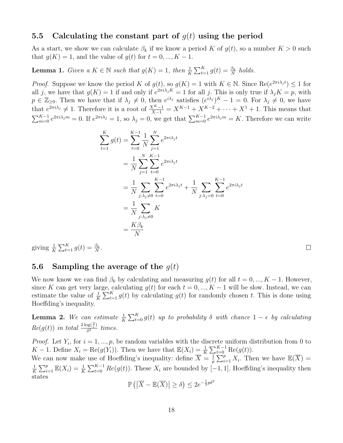## <span id="page-20-0"></span>5.5 Calculating the constant part of  $g(t)$  using the period

As a start, we show we can calculate  $\beta_k$  if we know a period K of  $g(t)$ , so a number  $K > 0$  such that  $q(K) = 1$ , and the value of  $q(t)$  for  $t = 0, ..., K - 1$ .

**Lemma 1.** Given a  $K \in \mathbb{N}$  such that  $g(K) = 1$ , then  $\frac{1}{K} \sum_{t=1}^{K} g(t) = \frac{\beta_k}{N}$  holds.

*Proof.* Suppose we know the period K of  $g(t)$ , so  $g(K) = 1$  with  $K \in \mathbb{N}$ . Since  $\text{Re}(e^{2\pi i \lambda_j t}) \leq 1$  for all j, we have that  $g(K) = 1$  if and only if  $e^{2\pi i \lambda_j K} = 1$  for all j. This is only true if  $\lambda_j K = p$ , with  $p \in \mathbb{Z}_{\geq 0}$ . Then we have that if  $\lambda_j \neq 0$ , then  $e^{i\lambda_j}$  satisfies  $(e^{i\lambda_j})^K - 1 = 0$ . For  $\lambda_j \neq 0$ , we have that  $e^{2\pi i\lambda_j} \neq 1$ . Therefore it is a root of  $\frac{X^{K}-1}{X-1} = X^{K-1} + X^{K-2} + \cdots + X^{1} + 1$ . This means that  $\sum_{m=0}^{K-1} e^{2\pi i \lambda_j m} = 0$ . If  $e^{2\pi i \lambda_j} = 1$ , so  $\lambda_j = 0$ , we get that  $\sum_{m=0}^{K-1} e^{2\pi i \lambda_j m} = K$ . Therefore we can write

$$
\sum_{t=1}^{K} g(t) = \sum_{t=0}^{K-1} \frac{1}{N} \sum_{j=1}^{N} e^{2\pi i \lambda_j t}
$$
  
=  $\frac{1}{N} \sum_{j=1}^{N} \sum_{t=0}^{K-1} e^{2\pi i \lambda_j t}$   
=  $\frac{1}{N} \sum_{j:\lambda_j \neq 0} \sum_{t=0}^{K-1} e^{2\pi i \lambda_j t} + \frac{1}{N} \sum_{j:\lambda_j=0} \sum_{t=0}^{K-1} e^{2\pi i \lambda_j t}$   
=  $\frac{1}{N} \sum_{j:\lambda_j \neq 0} K$   
=  $\frac{K \beta_k}{N}$ 

giving  $\frac{1}{K} \sum_{t=1}^{K} g(t) = \frac{\beta_k}{N}$ .

#### <span id="page-20-1"></span>5.6 Sampling the average of the  $q(t)$

We now know we can find  $\beta_k$  by calculating and measuring  $g(t)$  for all  $t = 0, ..., K - 1$ . However, since K can get very large, calculating  $g(t)$  for each  $t = 0, ..., K - 1$  will be slow. Instead, we can estimate the value of  $\frac{1}{K} \sum_{t=1}^{K} g(t)$  by calculating  $g(t)$  for randomly chosen t. This is done using Hoeffding's inequality.

**Lemma 2.** We can estimate  $\frac{1}{K} \sum_{t=0}^{K} g(t)$  up to probability  $\delta$  with chance  $1 - \epsilon$  by calculating  $Re(g(t))$  in total  $\frac{2 \log(\frac{2}{\epsilon})}{\delta^2}$  $rac{\delta^2}{\delta^2}$  times.

*Proof.* Let  $Y_i$ , for  $i = 1, ..., p$ , be random variables with the discrete uniform distribution from 0 to K – 1. Define  $X_i = \text{Re}(g(Y_i))$ . Then we have that  $\mathbb{E}(X_i) = \frac{1}{K} \sum_{t=0}^{K-1} \text{Re}(g(t))$ .

We can now make use of Hoeffding's inequality: define  $\overline{X} = \frac{1}{n}$  $\frac{1}{p}\sum_{i=1}^p X_i$ . Then we have  $\mathbb{E}(\overline{X}) =$ 1  $\frac{1}{K}\sum_{i=1}^p \mathbb{E}(X_i) = \frac{1}{K}\sum_{t=0}^{K-1} Re(g(t))$ . These  $X_i$  are bounded by [-1, 1]. Hoeffding's inequality then states

$$
\mathbb{P}\left(\left|\overline{X} - \mathbb{E}(\overline{X})\right| \ge \delta\right) \le 2e^{-\frac{1}{2}p\delta^2}
$$

 $\Box$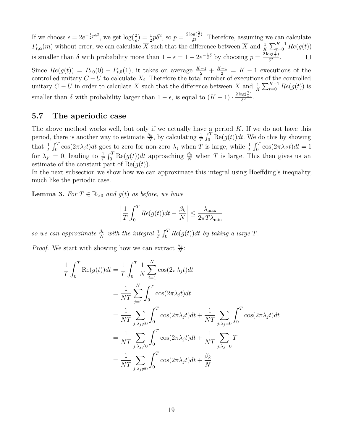If we choose  $\epsilon = 2e^{-\frac{1}{2}p\delta^2}$ , we get  $\log(\frac{2}{\epsilon})$  $(\frac{2}{\epsilon}) = \frac{1}{2}p\delta^2$ , so  $p = \frac{2\log(\frac{2}{\epsilon})}{\delta^2}$  $\frac{\partial g(z)}{\partial^2}$ . Therefore, assuming we can calculate  $P_{t,\alpha}(m)$  without error, we can calculate  $\overline{X}$  such that the difference between  $\overline{X}$  and  $\frac{1}{K}\sum_{t=0}^{K-1}Re(g(t))$ is smaller than  $\delta$  with probability more than  $1 - \epsilon = 1 - 2e^{-\frac{1}{2}\delta}$  by choosing  $p = \frac{2\log(\frac{2}{\epsilon})}{\delta^2}$  $rac{\partial g(\frac{\pi}{\epsilon})}{\partial^2}$ .

Since  $Re(g(t)) = P_{t,0}(0) - P_{t,0}(1)$ , it takes on average  $\frac{K-1}{2} + \frac{K-1}{2} = K - 1$  executions of the controlled unitary  $C-U$  to calculate  $X_i$ . Therefore the total number of executions of the controlled unitary  $C-U$  in order to calculate  $\overline{X}$  such that the difference between  $\overline{X}$  and  $\frac{1}{K}\sum_{t=0}^{K-1}Re(g(t))$  is smaller than  $\delta$  with probability larger than  $1 - \epsilon$ , is equal to  $(K - 1) \cdot \frac{2 \log(\frac{2}{\epsilon})}{\delta^2}$  $rac{\sqrt{8}(\frac{1}{\epsilon})}{\delta^2}$ .

#### <span id="page-21-0"></span>5.7 The aperiodic case

The above method works well, but only if we actually have a period  $K$ . If we do not have this period, there is another way to estimate  $\frac{\beta_k}{N}$ , by calculating  $\frac{1}{T} \int_0^T \text{Re}(g(t))dt$ . We do this by showing that  $\frac{1}{T} \int_0^T \cos(2\pi\lambda_j t) dt$  goes to zero for non-zero  $\lambda_j$  when T is large, while  $\frac{1}{T} \int_0^T \cos(2\pi\lambda_j t) dt = 1$ for  $\lambda_{j'}=0$ , leading to  $\frac{1}{T}\int_0^T \text{Re}(g(t))dt$  approaching  $\frac{\beta_k}{N}$  when T is large. This then gives us an estimate of the constant part of  $\text{Re}(q(t))$ .

In the next subsection we show how we can approximate this integral using Hoeffding's inequality, much like the periodic case.

**Lemma 3.** For  $T \in \mathbb{R}_{>0}$  and  $g(t)$  as before, we have

$$
\left|\frac{1}{T}\int_0^T Re(g(t))dt - \frac{\beta_k}{N}\right| \le \frac{\lambda_{\max}}{2\pi T\lambda_{\min}}
$$

so we can approximate  $\frac{\beta_k}{N}$  with the integral  $\frac{1}{T} \int_0^T Re(g(t))dt$  by taking a large T.

*Proof.* We start with showing how we can extract  $\frac{\beta_k}{N}$ :

$$
\frac{1}{T} \int_0^T \text{Re}(g(t))dt = \frac{1}{T} \int_0^T \frac{1}{N} \sum_{j=1}^N \cos(2\pi \lambda_j t)dt
$$
  
\n
$$
= \frac{1}{NT} \sum_{j=1}^N \int_0^T \cos(2\pi \lambda_j t)dt
$$
  
\n
$$
= \frac{1}{NT} \sum_{j:\lambda_j \neq 0}^N \int_0^T \cos(2\pi \lambda_j t)dt + \frac{1}{NT} \sum_{j:\lambda_j=0}^N \int_0^T \cos(2\pi \lambda_j t)dt
$$
  
\n
$$
= \frac{1}{NT} \sum_{j:\lambda_j \neq 0}^N \int_0^T \cos(2\pi \lambda_j t)dt + \frac{1}{NT} \sum_{j:\lambda_j=0}^T T
$$
  
\n
$$
= \frac{1}{NT} \sum_{j:\lambda_j \neq 0}^N \int_0^T \cos(2\pi \lambda_j t)dt + \frac{\beta_k}{N}
$$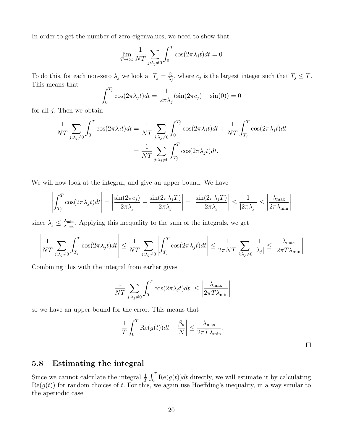In order to get the number of zero-eigenvalues, we need to show that

$$
\lim_{T \to \infty} \frac{1}{NT} \sum_{j:\lambda_j \neq 0} \int_0^T \cos(2\pi \lambda_j t) dt = 0
$$

To do this, for each non-zero  $\lambda_j$  we look at  $T_j = \frac{c_j}{\lambda_j}$  $\frac{c_j}{\lambda_j}$ , where  $c_j$  is the largest integer such that  $T_j \leq T$ . This means that

$$
\int_0^{T_j} \cos(2\pi\lambda_j t)dt = \frac{1}{2\pi\lambda_j} (\sin(2\pi c_j) - \sin(0)) = 0
$$

for all  $j$ . Then we obtain

$$
\frac{1}{NT} \sum_{j:\lambda_j \neq 0} \int_0^T \cos(2\pi \lambda_j t) dt = \frac{1}{NT} \sum_{j:\lambda_j \neq 0} \int_0^{T_j} \cos(2\pi \lambda_j t) dt + \frac{1}{NT} \int_{T_j}^T \cos(2\pi \lambda_j t) dt
$$

$$
= \frac{1}{NT} \sum_{j:\lambda_j \neq 0} \int_{T_j}^T \cos(2\pi \lambda_j t) dt.
$$

We will now look at the integral, and give an upper bound. We have

$$
\left| \int_{T_j}^{T} \cos(2\pi \lambda_j t) dt \right| = \left| \frac{\sin(2\pi c_j)}{2\pi \lambda_j} - \frac{\sin(2\pi \lambda_j T)}{2\pi \lambda_j} \right| = \left| \frac{\sin(2\pi \lambda_j T)}{2\pi \lambda_j} \right| \le \frac{1}{|2\pi \lambda_j|} \le \left| \frac{\lambda_{\max}}{2\pi \lambda_{\min}} \right|
$$

since  $\lambda_j \leq \frac{\lambda_{\min}}{\lambda_{\max}}$  $\frac{\lambda_{\min}}{\lambda_{\max}}$ . Applying this inequality to the sum of the integrals, we get

$$
\left| \frac{1}{NT} \sum_{j:\lambda_j \neq 0} \int_{T_j}^T \cos(2\pi \lambda_j t) dt \right| \leq \frac{1}{NT} \sum_{j:\lambda_j \neq 0} \left| \int_{T_j}^T \cos(2\pi \lambda_j t) dt \right| \leq \frac{1}{2\pi NT} \sum_{j:\lambda_j \neq 0} \frac{1}{|\lambda_j|} \leq \left| \frac{\lambda_{\max}}{2\pi T \lambda_{\min}} \right|
$$

Combining this with the integral from earlier gives

$$
\left| \frac{1}{NT} \sum_{j: \lambda_j \neq 0} \int_0^T \cos(2\pi \lambda_j t) dt \right| \le \left| \frac{\lambda_{\max}}{2\pi T \lambda_{\min}} \right|
$$

so we have an upper bound for the error. This means that

$$
\left|\frac{1}{T}\int_0^T \mathrm{Re}(g(t))dt - \frac{\beta_k}{N}\right| \le \frac{\lambda_{\max}}{2\pi T\lambda_{\min}}.
$$

 $\Box$ 

## <span id="page-22-0"></span>5.8 Estimating the integral

Since we cannot calculate the integral  $\frac{1}{T} \int_0^T \text{Re}(g(t))dt$  directly, we will estimate it by calculating  $\text{Re}(g(t))$  for random choices of t. For this, we again use Hoeffding's inequality, in a way similar to the aperiodic case.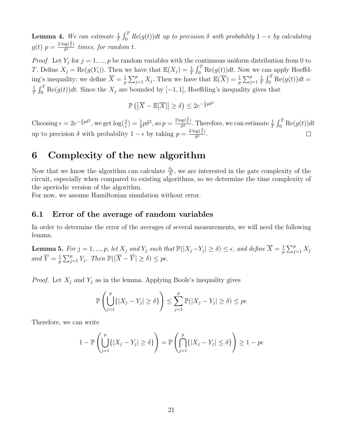**Lemma 4.** We can estimate  $\frac{1}{T} \int_0^T Re(g(t))dt$  up to precision  $\delta$  with probability  $1 - \epsilon$  by calculating  $g(t)$   $p = \frac{2 \cdot \log(\frac{2}{\epsilon})}{\delta^2}$  $\frac{\partial g(\frac{\pi}{\epsilon})}{\partial \delta^2}$  times, for random t.

*Proof.* Let  $Y_j$  for  $j = 1, ..., p$  be random variables with the continuous uniform distribution from 0 to *T*. Define  $X_j = \text{Re}(g(Y_i))$ . Then we have that  $\mathbb{E}(X_j) = \frac{1}{T} \int_0^T \text{Re}(g(t))dt$ . Now we can apply Hoeffding's inequality: we define  $\overline{X} = \frac{1}{n}$  $\frac{1}{p}\sum_{j=1}^p X_j$ . Then we have that  $\mathbb{E}(\overline{X}) = \frac{1}{p}\sum_{j=1}^p X_j$ . 1  $\frac{1}{T} \int_0^T \text{Re}(g(t)) dt =$ 1  $\frac{1}{T} \int_0^T \text{Re}(g(t))dt$ . Since the  $X_j$  are bounded by [-1, 1], Hoeffding's inequality gives that

$$
\mathbb{P}\left(\left|\overline{X} - \mathbb{E}[\overline{X}]\right| \ge \delta\right) \le 2e^{-\frac{1}{2}p\delta^2}
$$

Choosing  $\epsilon = 2e^{-\frac{1}{2}p\delta^2}$ , we get  $\log(\frac{2}{\epsilon})$  $(\frac{2}{\epsilon}) = \frac{1}{2}p\delta^2$ , so  $p = \frac{2\log(\frac{2}{\epsilon})}{\delta^2}$  $\frac{\log(\frac{2}{\epsilon})}{\delta^2}$ . Therefore, we can estimate  $\frac{1}{T} \int_0^T \text{Re}(g(t)) dt$ up to precision  $\delta$  with probability  $1 - \epsilon$  by taking  $p = \frac{2 \cdot \log(\frac{2}{\epsilon})}{\delta^2}$  $rac{\partial g(\frac{\pi}{\epsilon})}{\partial^2}$ .

## <span id="page-23-0"></span>6 Complexity of the new algorithm

Now that we know the algorithm can calculate  $\frac{\beta_k}{N}$ , we are interested in the gate complexity of the circuit, especially when compared to existing algorithms, so we determine the time complexity of the aperiodic version of the algorithm.

For now, we assume Hamiltonian simulation without error.

#### <span id="page-23-1"></span>6.1 Error of the average of random variables

In order to determine the error of the averages of several measurements, we will need the following lemma.

**Lemma 5.** For  $j = 1, ..., p$ , let  $X_j$  and  $Y_j$  such that  $\mathbb{P}(|X_j - Y_j| \ge \delta) \le \epsilon$ , and define  $\overline{X} = \frac{1}{n}$  $\frac{1}{p}\sum_{j=1}^p X_j$ and  $\overline{Y} = \frac{1}{n}$  $\frac{1}{p}\sum_{j=1}^p Y_j$ . Then  $\mathbb{P}(|\overline{X}-\overline{Y}| \geq \delta) \leq p\epsilon$ .

*Proof.* Let  $X_j$  and  $Y_j$  as in the lemma. Applying Boole's inequality gives

$$
\mathbb{P}\left(\bigcup_{j=1}^p \{|X_j - Y_j| \ge \delta\}\right) \le \sum_{j=1}^p \mathbb{P}(|X_j - Y_j| \ge \delta) \le p\epsilon
$$

Therefore, we can write

$$
1 - \mathbb{P}\left(\bigcup_{j=1}^p \{|X_j - Y_j| \ge \delta\}\right) = \mathbb{P}\left(\bigcap_{j=1}^p \{|X_j - Y_j| \le \delta\}\right) \ge 1 - p\epsilon
$$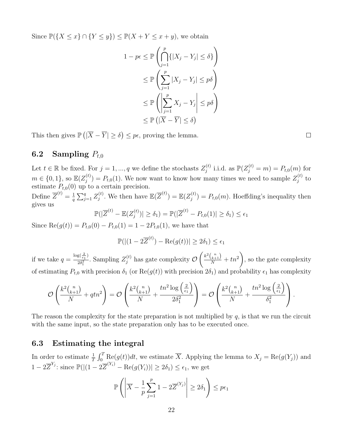Since  $\mathbb{P}(\{X \le x\} \cap \{Y \le y\}) \le \mathbb{P}(X + Y \le x + y)$ , we obtain

$$
1 - p\epsilon \le \mathbb{P}\left(\bigcap_{j=1}^p \{|X_j - Y_j| \le \delta\}\right)
$$
  
\n
$$
\le \mathbb{P}\left(\sum_{j=1}^p |X_j - Y_j| \le p\delta\right)
$$
  
\n
$$
\le \mathbb{P}\left(\left|\sum_{j=1}^p X_j - Y_j\right| \le p\delta\right)
$$
  
\n
$$
\le \mathbb{P}\left(|\overline{X} - \overline{Y}| \le \delta\right)
$$

This then gives  $\mathbb{P}\left(|\overline{X}-\overline{Y}|\geq \delta\right) \leq p\epsilon$ , proving the lemma.

# $\Box$

## <span id="page-24-0"></span>6.2 Sampling  $P_{t,0}$

Let  $t \in \mathbb{R}$  be fixed. For  $j = 1, ..., q$  we define the stochasts  $Z_i^{(t)}$  $j_j^{(t)}$  i.i.d. as  $\mathbb{P}(Z_j^{(t)} = m) = P_{t,0}(m)$  for  $m \in \{0, 1\}$ , so  $\mathbb{E}(Z_i^{(t)})$  $g_j^{(t)}$  =  $P_{t,0}(1)$ . We now want to know how many times we need to sample  $Z_j^{(t)}$  $j^{(\iota)}$  to estimate  $P_{t,0}(0)$  up to a certain precision.

Define  $\overline{Z}^{(t)} = \frac{1}{a}$  $\frac{1}{q}\sum_{j=1}^q Z_j^{(t)}$  $j^{(t)}$ . We then have  $\mathbb{E}(\overline{Z}^{(t)}) = \mathbb{E}(Z_j^{(t)})$  $j_j^{(t)}$  =  $P_{t,0}(m)$ . Hoeffding's inequality then gives us

$$
\mathbb{P}(|\overline{Z}^{(t)} - \mathbb{E}(Z_j^{(t)})| \ge \delta_1) = \mathbb{P}(|\overline{Z}^{(t)} - P_{t,0}(1)| \ge \delta_1) \le \epsilon_1
$$

Since Re $(g(t)) = P_{t,0}(0) - P_{t,0}(1) = 1 - 2P_{t,0}(1)$ , we have that

$$
\mathbb{P}(|(1 - 2\overline{Z}^{(t)}) - \text{Re}(g(t))| \ge 2\delta_1) \le \epsilon_1
$$

if we take  $q = \frac{\log(\frac{2}{\epsilon_1})}{2\delta^2}$  $\frac{2\delta(\frac{z}{\epsilon_1})}{2\delta_1^2}$ . Sampling  $Z_j^{(t)}$  has gate complexity  $\mathcal O$  $\left(\frac{k^2\binom{n}{k+1}}{N}+tn^2\right)$ , so the gate complexity of estimating  $P_{t,0}$  with precision  $\delta_1$  (or  $\text{Re}(g(t))$  with precision  $2\delta_1$ ) and probability  $\epsilon_1$  has complexity

$$
\mathcal{O}\left(\frac{k^2 {n \choose k+1}}{N} + qtn^2\right) = \mathcal{O}\left(\frac{k^2 {n \choose k+1}}{N} + \frac{tn^2\log\left(\frac{2}{\epsilon_1}\right)}{2\delta_1^2}\right) = \mathcal{O}\left(\frac{k^2 {n \choose k+1}}{N} + \frac{tn^2\log\left(\frac{2}{\epsilon_1}\right)}{\delta_1^2}\right).
$$

The reason the complexity for the state preparation is not multiplied by  $q$ , is that we run the circuit with the same input, so the state preparation only has to be executed once.

#### <span id="page-24-1"></span>6.3 Estimating the integral

In order to estimate  $\frac{1}{T} \int_0^T \text{Re}(g(t))dt$ , we estimate  $\overline{X}$ . Applying the lemma to  $X_j = \text{Re}(g(Y_j))$  and  $1 - 2\overline{Z}^{Y_j}$ : since  $\mathbb{P}(|(1 - 2\overline{Z}^{(Y_i)} - \text{Re}(g(Y_i))| \ge 2\delta_1) \le \epsilon_1$ , we get

$$
\mathbb{P}\left(\left|\overline{X} - \frac{1}{p}\sum_{j=1}^{p} 1 - 2\overline{Z}^{(Y_j)}\right| \ge 2\delta_1\right) \le p\epsilon_1
$$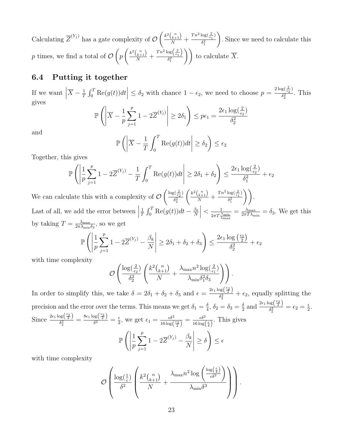Calculating  $\overline{Z}^{(Y_j)}$  has a gate complexity of  $\mathcal O$  $\left(\frac{k^2\binom{n}{k+1}}{N} + \frac{Tn^2\log(\frac{2}{\epsilon_1})}{\delta_1^2}\right)$  $\overline{\delta_1^2}$  $\setminus$ . Since we need to calculate this p times, we find a total of  $\mathcal O$  $\sqrt{ }$ p  $\left(\frac{k^2\binom{n}{k+1}}{N} + \frac{Tn^2\log\left(\frac{2}{\epsilon_1}\right)}{\delta_1^2}\right)$  $\left(\frac{\log\left(\frac{2}{\epsilon_1}\right)}{\delta_1^2}\right)$  to calculate  $\overline{X}$ .

#### <span id="page-25-0"></span>6.4 Putting it together

If we want  $\vert$  $\overline{X} - \frac{1}{\tau}$  $\frac{1}{T}\int_0^T \text{Re}(g(t))dt \leq \delta_2$  with chance  $1 - \epsilon_2$ , we need to choose  $p = \frac{2\log(\frac{2}{\epsilon_2})}{\delta_2^2}$  $\frac{\delta \zeta_{\epsilon_2}}{\delta_2^2}$ . This gives

$$
\mathbb{P}\left(\left|\overline{X} - \frac{1}{p}\sum_{j=1}^p 1 - 2\overline{Z}^{(Y_j)}\right| \ge 2\delta_1\right) \le p\epsilon_1 = \frac{2\epsilon_1 \log(\frac{2}{\epsilon_2})}{\delta_2^2}
$$

and

$$
\mathbb{P}\left(\left|\overline{X} - \frac{1}{T} \int_0^T \text{Re}(g(t))dt\right| \ge \delta_2\right) \le \epsilon_2
$$

Together, this gives

$$
\mathbb{P}\left(\left|\frac{1}{p}\sum_{j=1}^p 1 - 2\overline{Z}^{(Y_j)} - \frac{1}{T} \int_0^T \text{Re}(g(t))dt\right| \ge 2\delta_1 + \delta_2\right) \le \frac{2\epsilon_1 \log(\frac{2}{\epsilon_2})}{\delta_1^2} + \epsilon_2
$$

We can calculate this with a complexity of  $\mathcal O$  $\int \frac{\log(\frac{2}{\epsilon_2})}{\sqrt{\epsilon_2}}$  $\overline{\delta_2^2}$  $\left(\frac{k^2\binom{n}{k+1}}{N} + \frac{Tn^2\log(\frac{2}{\epsilon_1})}{\delta_1^2}\right)$  $\frac{\log(\frac{2}{\epsilon_1})}{\delta_1^2}\Bigg)\Bigg).$ Last of all, we add the error between  $\Big|$ 1  $\frac{1}{T}\int_0^T \mathrm{Re}(g(t))dt - \frac{\beta_k}{N}$ N  $\begin{array}{c} \begin{array}{c} \begin{array}{c} \end{array} \\ \begin{array}{c} \end{array} \end{array} \end{array}$  $\langle \frac{1}{2}$  $2\pi T \frac{\lambda_{\min}}{\lambda_{\max}}$  $=\frac{\lambda_{\max}}{2\pi T\lambda}$  $\frac{\lambda_{\max}}{2\pi T\lambda_{\min}} = \delta_3$ . We get this by taking  $T = \frac{\lambda_{\text{max}}}{2\pi\lambda}$  $\frac{\lambda_{\max}}{2\pi\lambda_{\min}\delta_3}$ , so we get

$$
\mathbb{P}\left(\left|\frac{1}{p}\sum_{j=1}^p 1 - 2\overline{Z}^{(Y_j)} - \frac{\beta_k}{N}\right| \ge 2\delta_1 + \delta_2 + \delta_3\right) \le \frac{2\epsilon_1 \log\left(\frac{\epsilon_2}{2}\right)}{\delta_2^2} + \epsilon_2
$$

with time complexity

$$
\mathcal{O}\left(\frac{\log(\frac{2}{\epsilon_2})}{\delta_2^2} \left(\frac{k^2\binom{n}{k+1}}{N} + \frac{\lambda_{\max}n^2\log(\frac{2}{\epsilon_1})}{\lambda_{\min}\delta_1^2\delta_3}\right)\right).
$$

In order to simplify this, we take  $\delta = 2\delta_1 + \delta_2 + \delta_3$  and  $\epsilon = \frac{2\epsilon_1 \log(\frac{\epsilon_2}{2})}{\delta_1^2}$  $\frac{\delta_8(\sqrt{2})}{\delta_2^2} + \epsilon_2$ , equally splitting the precision and the error over the terms. This means we get  $\delta_1 = \frac{\delta}{4}$  $\frac{\delta}{4}$ ,  $\delta_2 = \delta_3 = \frac{\delta}{2}$  $\frac{\delta}{2}$  and  $\frac{2\epsilon_1 \log(\frac{\epsilon_2}{2})}{\delta_2^2}$  $\frac{\log(\frac{\pi}{2})}{\delta_2^2} = \epsilon_2 = \frac{\epsilon}{2}$  $\frac{\epsilon}{2}$ . Since  $\frac{2\epsilon_1 \log(\frac{\epsilon_2}{2})}{\delta^2}$  $\frac{\log\left(\frac{\epsilon_2}{2}\right)}{\delta_2^2} = \frac{8\epsilon_1\log\left(\frac{\epsilon_2}{2}\right)}{\delta^2}$  $\frac{\log(\frac{\pi}{2})}{\delta^2} = \frac{\epsilon}{2}$  $\frac{\epsilon}{2}$ , we get  $\epsilon_1 = \frac{\epsilon \delta^2}{16 \log \epsilon}$  $\frac{\epsilon \delta^2}{16 \log \left( \frac{\epsilon_2}{2} \right)} = \frac{\epsilon \delta^2}{16 \log \left( \frac{\epsilon_2}{2} \right)}$  $\frac{\epsilon \delta^2}{16 \log(\frac{\epsilon}{4})}$ . This gives P  $\left(\rule{0pt}{10pt}\right.$ 1 p  $\sum$ p  $j=1$  $1-2\overline{Z}^{(Y_j)}-\frac{\beta_k}{N}$ N  $\geq \delta$  $\setminus$  $\leq \epsilon$ 

with time complexity

$$
\mathcal{O}\left(\frac{\log(\frac{1}{\epsilon})}{\delta^2}\left(\frac{k^2\binom{n}{k+1}}{N}+\frac{\lambda_{\max}n^2\log\left(\frac{\log(\frac{\epsilon}{4})}{\epsilon\delta^2}\right)}{\lambda_{\min}\delta^3}\right)\right).
$$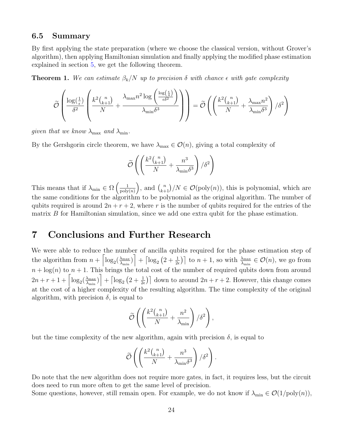#### <span id="page-26-0"></span>6.5 Summary

By first applying the state preparation (where we choose the classical version, without Grover's algorithm), then applying Hamiltonian simulation and finally applying the modified phase estimation explained in section [5,](#page-16-1) we get the following theorem.

**Theorem 1.** We can estimate  $\beta_k/N$  up to precision  $\delta$  with chance  $\epsilon$  with gate complexity

$$
\widetilde{\mathcal{O}}\left(\frac{\log(\frac{1}{\epsilon})}{\delta^2}\left(\frac{k^2\binom{n}{k+1}}{N}+\frac{\lambda_{\max}n^2\log\left(\frac{\log\left(\frac{\epsilon}{4}\right)}{\epsilon\delta^2}\right)}{\lambda_{\min}\delta^3}\right)\right)=\widetilde{\mathcal{O}}\left(\left(\frac{k^2\binom{n}{k+1}}{N}+\frac{\lambda_{\max}n^2}{\lambda_{\min}\delta^3}\right)/\delta^2\right)
$$

given that we know  $\lambda_{\text{max}}$  and  $\lambda_{\text{min}}$ .

By the Gershgorin circle theorem, we have  $\lambda_{\text{max}} \in \mathcal{O}(n)$ , giving a total complexity of

$$
\widetilde{\mathcal{O}}\left(\left(\frac{k^2\binom{n}{k+1}}{N} + \frac{n^3}{\lambda_{\min}\delta^3}\right)/\delta^2\right)
$$

This means that if  $\lambda_{\min} \in \Omega$   $\left(\frac{1}{\text{poly}}\right)$  $\frac{1}{\text{poly}(n)}$ , and  $\binom{n}{k+1}/N \in \mathcal{O}(\text{poly}(n))$ , this is polynomial, which are the same conditions for the algorithm to be polynomial as the original algorithm. The number of qubits required is around  $2n + r + 2$ , where r is the number of qubits required for the entries of the matrix B for Hamiltonian simulation, since we add one extra qubit for the phase estimation.

## <span id="page-26-1"></span>7 Conclusions and Further Research

We were able to reduce the number of ancilla qubits required for the phase estimation step of the algorithm from  $n + \left\lceil \log_2 \left( \frac{\lambda_{\text{max}}}{\lambda_{\text{min}}} \right) \right\rceil$  $\left(\frac{\lambda_{\max}}{\lambda_{\min}}\right)$  +  $\left\lceil \log_2\left(2+\frac{1}{2\epsilon}\right)\right\rceil$  to  $n+1$ , so with  $\frac{\lambda_{\max}}{\lambda_{\min}} \in \mathcal{O}(n)$ , we go from  $n + \log(n)$  to  $n + 1$ . This brings the total cost of the number of required qubits down from around  $2n+r+1+\left\lceil \log_2(\frac{\lambda_{\max}}{\lambda_{\min}}\right\rceil$  $\left(\frac{\lambda_{\max}}{\lambda_{\min}}\right)$  +  $\left[\log_2\left(2+\frac{1}{2\epsilon}\right)\right]$  down to around  $2n+r+2$ . However, this change comes at the cost of a higher complexity of the resulting algorithm. The time complexity of the original algorithm, with precision  $\delta$ , is equal to

$$
\widetilde{\mathcal{O}}\left(\left(\frac{k^2\binom{n}{k+1}}{N}+\frac{n^2}{\lambda_{\min}}\right)/\delta^2\right),\right)
$$

but the time complexity of the new algorithm, again with precision  $\delta$ , is equal to

$$
\widetilde{\mathcal{O}}\left(\left(\frac{k^2\binom{n}{k+1}}{N} + \frac{n^3}{\lambda_{\min}\delta^3}\right)/\delta^2\right).
$$

Do note that the new algorithm does not require more gates, in fact, it requires less, but the circuit does need to run more often to get the same level of precision.

Some questions, however, still remain open. For example, we do not know if  $\lambda_{\min} \in \mathcal{O}(1/\text{poly}(n)),$